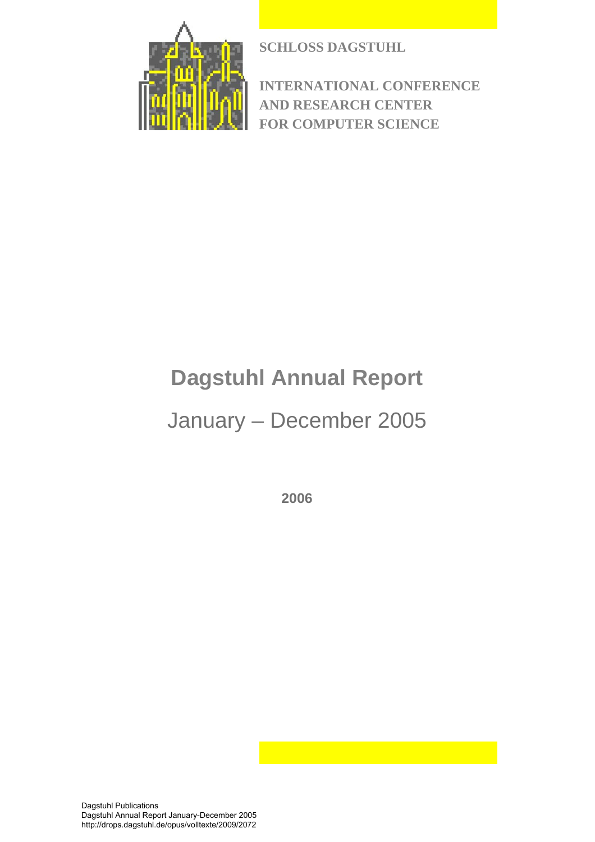

**SCHLOSS DAGSTUHL** 

**INTERNATIONAL CONFERENCE AND RESEARCH CENTER FOR COMPUTER SCIENCE** 

# **Dagstuhl Annual Report**

# January – December 2005

**2006**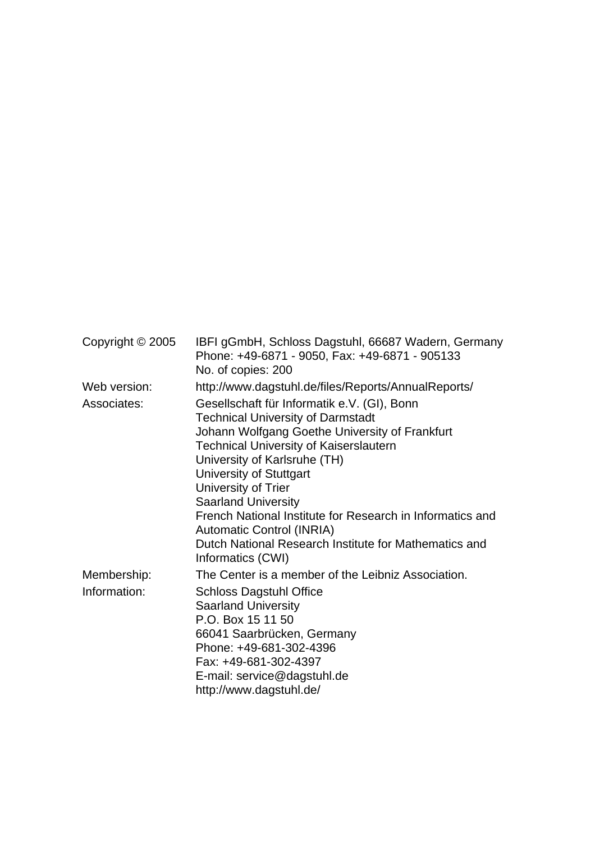| Copyright © 2005 | IBFI gGmbH, Schloss Dagstuhl, 66687 Wadern, Germany<br>Phone: +49-6871 - 9050, Fax: +49-6871 - 905133<br>No. of copies: 200                                                                                                                                                                                                                                                                                                                                                        |
|------------------|------------------------------------------------------------------------------------------------------------------------------------------------------------------------------------------------------------------------------------------------------------------------------------------------------------------------------------------------------------------------------------------------------------------------------------------------------------------------------------|
| Web version:     | http://www.dagstuhl.de/files/Reports/AnnualReports/                                                                                                                                                                                                                                                                                                                                                                                                                                |
| Associates:      | Gesellschaft für Informatik e.V. (GI), Bonn<br><b>Technical University of Darmstadt</b><br>Johann Wolfgang Goethe University of Frankfurt<br><b>Technical University of Kaiserslautern</b><br>University of Karlsruhe (TH)<br>University of Stuttgart<br>University of Trier<br><b>Saarland University</b><br>French National Institute for Research in Informatics and<br>Automatic Control (INRIA)<br>Dutch National Research Institute for Mathematics and<br>Informatics (CWI) |
| Membership:      | The Center is a member of the Leibniz Association.                                                                                                                                                                                                                                                                                                                                                                                                                                 |
| Information:     | <b>Schloss Dagstuhl Office</b><br><b>Saarland University</b><br>P.O. Box 15 11 50<br>66041 Saarbrücken, Germany<br>Phone: +49-681-302-4396<br>Fax: +49-681-302-4397<br>E-mail: service@dagstuhl.de<br>http://www.dagstuhl.de/                                                                                                                                                                                                                                                      |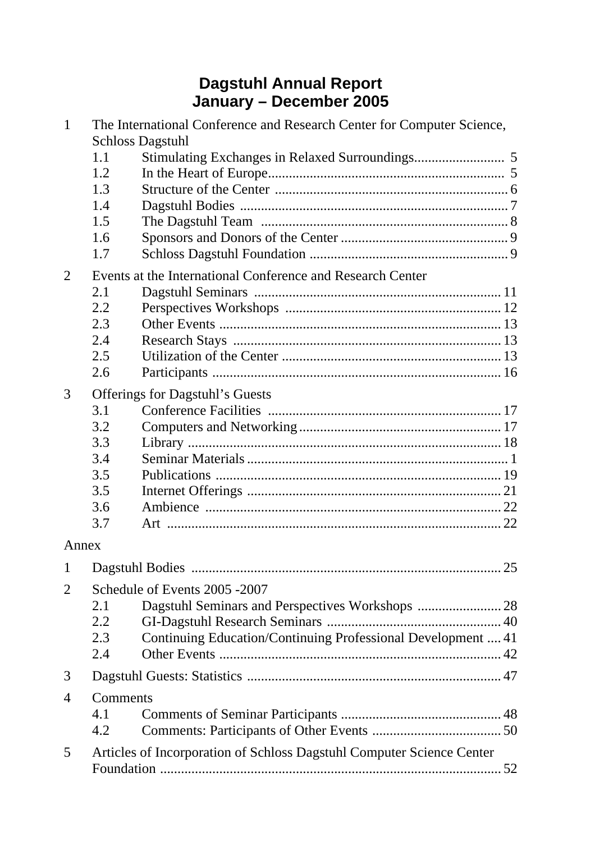### **Dagstuhl Annual Report January – December 2005**

| $\mathbf{1}$   | The International Conference and Research Center for Computer Science, |                                                                       |  |  |
|----------------|------------------------------------------------------------------------|-----------------------------------------------------------------------|--|--|
|                |                                                                        | <b>Schloss Dagstuhl</b>                                               |  |  |
|                | 1.1                                                                    |                                                                       |  |  |
|                | 1.2                                                                    |                                                                       |  |  |
|                | 1.3                                                                    |                                                                       |  |  |
|                | 1.4                                                                    |                                                                       |  |  |
|                | 1.5                                                                    |                                                                       |  |  |
|                | 1.6                                                                    |                                                                       |  |  |
|                | 1.7                                                                    |                                                                       |  |  |
| $\overline{2}$ | Events at the International Conference and Research Center             |                                                                       |  |  |
|                | 2.1                                                                    |                                                                       |  |  |
|                | 2.2                                                                    |                                                                       |  |  |
|                | 2.3                                                                    |                                                                       |  |  |
|                | 2.4                                                                    |                                                                       |  |  |
|                | 2.5                                                                    |                                                                       |  |  |
|                | 2.6                                                                    |                                                                       |  |  |
| 3              |                                                                        | <b>Offerings for Dagstuhl's Guests</b>                                |  |  |
|                | 3.1                                                                    |                                                                       |  |  |
|                | 3.2                                                                    |                                                                       |  |  |
|                | 3.3                                                                    |                                                                       |  |  |
|                | 3.4                                                                    |                                                                       |  |  |
|                | 3.5                                                                    |                                                                       |  |  |
|                | 3.5                                                                    |                                                                       |  |  |
|                | 3.6                                                                    |                                                                       |  |  |
|                | 3.7                                                                    |                                                                       |  |  |
| Annex          |                                                                        |                                                                       |  |  |
|                |                                                                        |                                                                       |  |  |
|                |                                                                        |                                                                       |  |  |
| $\overline{2}$ |                                                                        | Schedule of Events 2005 -2007                                         |  |  |
|                | 2.1                                                                    |                                                                       |  |  |
|                | 2.2                                                                    |                                                                       |  |  |
|                | 2.3                                                                    | Continuing Education/Continuing Professional Development  41          |  |  |
|                | 2.4                                                                    |                                                                       |  |  |
| 3              |                                                                        |                                                                       |  |  |
| 4              | Comments                                                               |                                                                       |  |  |
|                | 4.1                                                                    |                                                                       |  |  |
|                | 4.2                                                                    |                                                                       |  |  |
| 5              |                                                                        | Articles of Incorporation of Schloss Dagstuhl Computer Science Center |  |  |
|                |                                                                        |                                                                       |  |  |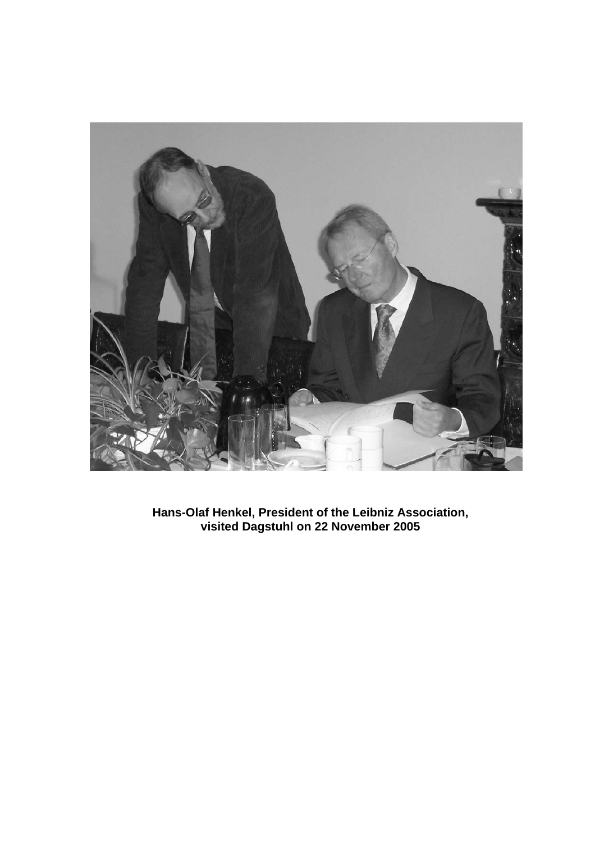

**Hans-Olaf Henkel, President of the Leibniz Association, visited Dagstuhl on 22 November 2005**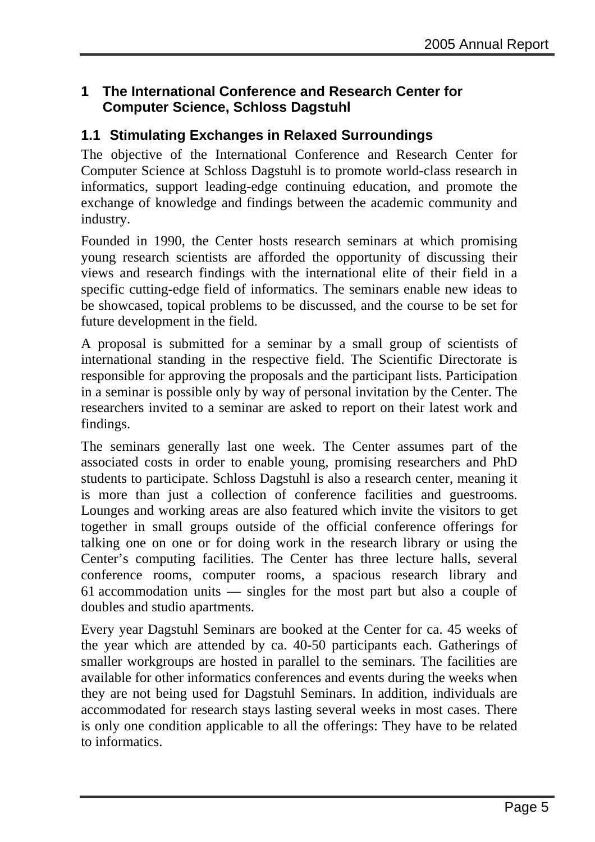### **1 The International Conference and Research Center for Computer Science, Schloss Dagstuhl**

### **1.1 Stimulating Exchanges in Relaxed Surroundings**

The objective of the International Conference and Research Center for Computer Science at Schloss Dagstuhl is to promote world-class research in informatics, support leading-edge continuing education, and promote the exchange of knowledge and findings between the academic community and industry.

Founded in 1990, the Center hosts research seminars at which promising young research scientists are afforded the opportunity of discussing their views and research findings with the international elite of their field in a specific cutting-edge field of informatics. The seminars enable new ideas to be showcased, topical problems to be discussed, and the course to be set for future development in the field.

A proposal is submitted for a seminar by a small group of scientists of international standing in the respective field. The Scientific Directorate is responsible for approving the proposals and the participant lists. Participation in a seminar is possible only by way of personal invitation by the Center. The researchers invited to a seminar are asked to report on their latest work and findings.

The seminars generally last one week. The Center assumes part of the associated costs in order to enable young, promising researchers and PhD students to participate. Schloss Dagstuhl is also a research center, meaning it is more than just a collection of conference facilities and guestrooms. Lounges and working areas are also featured which invite the visitors to get together in small groups outside of the official conference offerings for talking one on one or for doing work in the research library or using the Center's computing facilities. The Center has three lecture halls, several conference rooms, computer rooms, a spacious research library and 61 accommodation units — singles for the most part but also a couple of doubles and studio apartments.

Every year Dagstuhl Seminars are booked at the Center for ca. 45 weeks of the year which are attended by ca. 40-50 participants each. Gatherings of smaller workgroups are hosted in parallel to the seminars. The facilities are available for other informatics conferences and events during the weeks when they are not being used for Dagstuhl Seminars. In addition, individuals are accommodated for research stays lasting several weeks in most cases. There is only one condition applicable to all the offerings: They have to be related to informatics.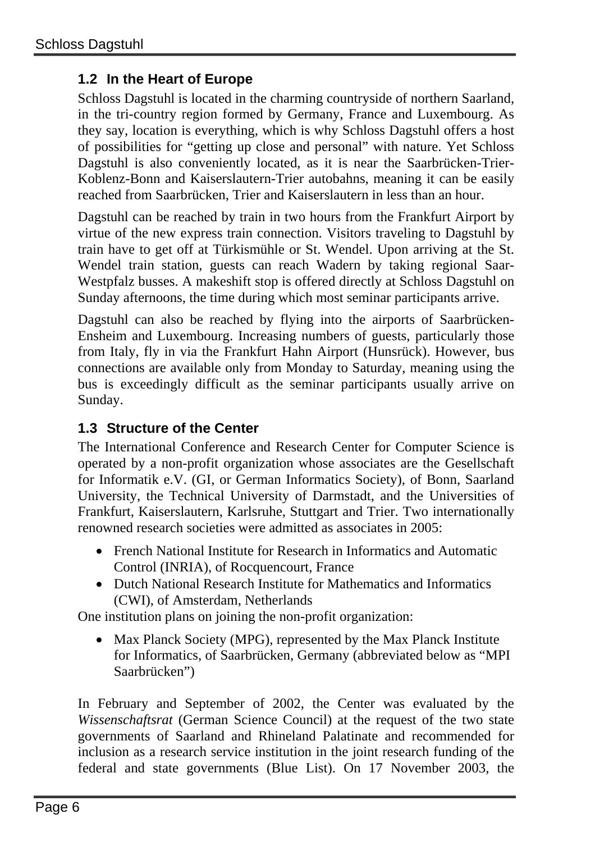### **1.2 In the Heart of Europe**

Schloss Dagstuhl is located in the charming countryside of northern Saarland, in the tri-country region formed by Germany, France and Luxembourg. As they say, location is everything, which is why Schloss Dagstuhl offers a host of possibilities for "getting up close and personal" with nature. Yet Schloss Dagstuhl is also conveniently located, as it is near the Saarbrücken-Trier-Koblenz-Bonn and Kaiserslautern-Trier autobahns, meaning it can be easily reached from Saarbrücken, Trier and Kaiserslautern in less than an hour.

Dagstuhl can be reached by train in two hours from the Frankfurt Airport by virtue of the new express train connection. Visitors traveling to Dagstuhl by train have to get off at Türkismühle or St. Wendel. Upon arriving at the St. Wendel train station, guests can reach Wadern by taking regional Saar-Westpfalz busses. A makeshift stop is offered directly at Schloss Dagstuhl on Sunday afternoons, the time during which most seminar participants arrive.

Dagstuhl can also be reached by flying into the airports of Saarbrücken-Ensheim and Luxembourg. Increasing numbers of guests, particularly those from Italy, fly in via the Frankfurt Hahn Airport (Hunsrück). However, bus connections are available only from Monday to Saturday, meaning using the bus is exceedingly difficult as the seminar participants usually arrive on Sunday.

### **1.3 Structure of the Center**

The International Conference and Research Center for Computer Science is operated by a non-profit organization whose associates are the Gesellschaft for Informatik e.V. (GI, or German Informatics Society), of Bonn, Saarland University, the Technical University of Darmstadt, and the Universities of Frankfurt, Kaiserslautern, Karlsruhe, Stuttgart and Trier. Two internationally renowned research societies were admitted as associates in 2005:

- French National Institute for Research in Informatics and Automatic Control (INRIA), of Rocquencourt, France
- Dutch National Research Institute for Mathematics and Informatics (CWI), of Amsterdam, Netherlands

One institution plans on joining the non-profit organization:

• Max Planck Society (MPG), represented by the Max Planck Institute for Informatics, of Saarbrücken, Germany (abbreviated below as "MPI Saarbrücken")

In February and September of 2002, the Center was evaluated by the *Wissenschaftsrat* (German Science Council) at the request of the two state governments of Saarland and Rhineland Palatinate and recommended for inclusion as a research service institution in the joint research funding of the federal and state governments (Blue List). On 17 November 2003, the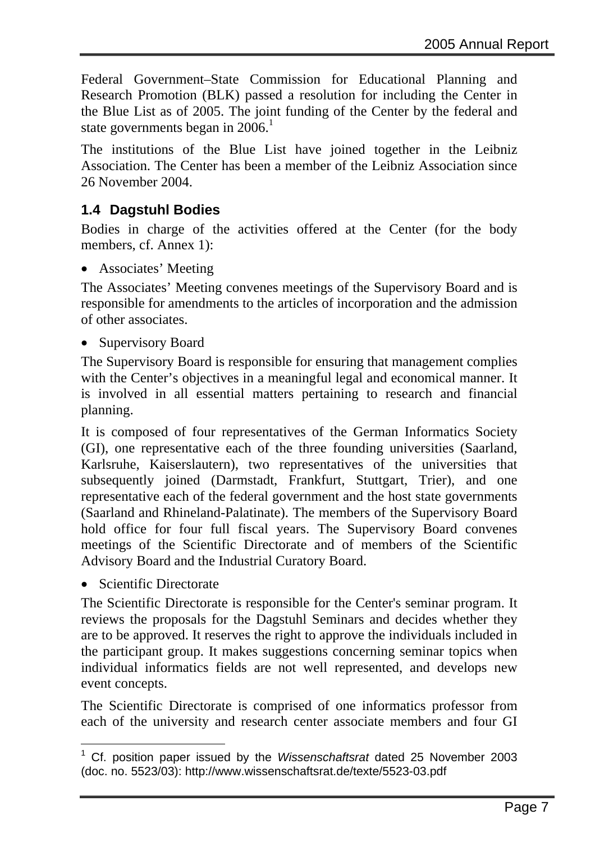Federal Government–State Commission for Educational Planning and Research Promotion (BLK) passed a resolution for including the Center in the Blue List as of 2005. The joint funding of the Center by the federal and state governments began in  $2006$ <sup>1</sup>

The institutions of the Blue List have joined together in the Leibniz Association. The Center has been a member of the Leibniz Association since 26 November 2004.

### **1.4 Dagstuhl Bodies**

Bodies in charge of the activities offered at the Center (for the body members, cf. Annex 1):

• Associates' Meeting

The Associates' Meeting convenes meetings of the Supervisory Board and is responsible for amendments to the articles of incorporation and the admission of other associates.

• Supervisory Board

The Supervisory Board is responsible for ensuring that management complies with the Center's objectives in a meaningful legal and economical manner. It is involved in all essential matters pertaining to research and financial planning.

It is composed of four representatives of the German Informatics Society (GI), one representative each of the three founding universities (Saarland, Karlsruhe, Kaiserslautern), two representatives of the universities that subsequently joined (Darmstadt, Frankfurt, Stuttgart, Trier), and one representative each of the federal government and the host state governments (Saarland and Rhineland-Palatinate). The members of the Supervisory Board hold office for four full fiscal years. The Supervisory Board convenes meetings of the Scientific Directorate and of members of the Scientific Advisory Board and the Industrial Curatory Board.

• Scientific Directorate

l

The Scientific Directorate is responsible for the Center's seminar program. It reviews the proposals for the Dagstuhl Seminars and decides whether they are to be approved. It reserves the right to approve the individuals included in the participant group. It makes suggestions concerning seminar topics when individual informatics fields are not well represented, and develops new event concepts.

The Scientific Directorate is comprised of one informatics professor from each of the university and research center associate members and four GI

<sup>1</sup> Cf. position paper issued by the *Wissenschaftsrat* dated 25 November 2003 (doc. no. 5523/03): http://www.wissenschaftsrat.de/texte/5523-03.pdf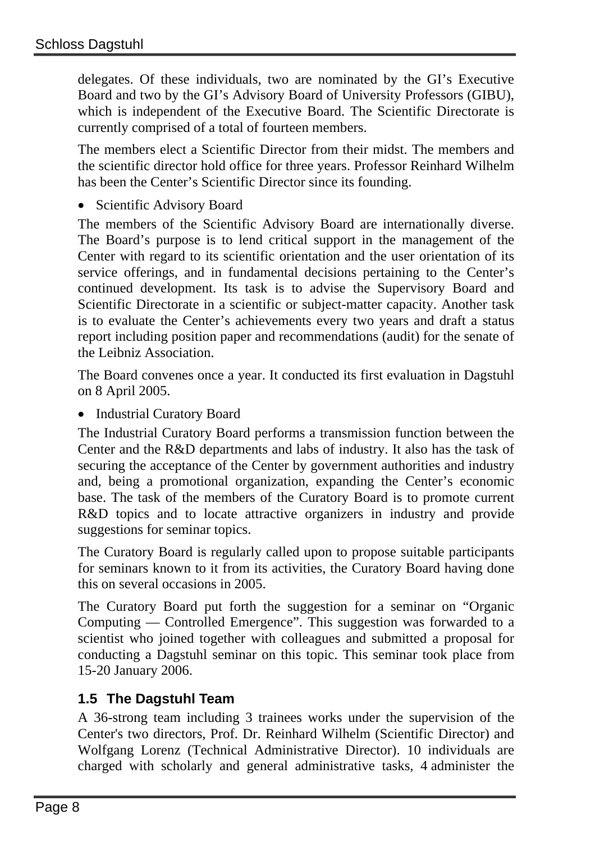delegates. Of these individuals, two are nominated by the GI's Executive Board and two by the GI's Advisory Board of University Professors (GIBU), which is independent of the Executive Board. The Scientific Directorate is currently comprised of a total of fourteen members.

The members elect a Scientific Director from their midst. The members and the scientific director hold office for three years. Professor Reinhard Wilhelm has been the Center's Scientific Director since its founding.

• Scientific Advisory Board

The members of the Scientific Advisory Board are internationally diverse. The Board's purpose is to lend critical support in the management of the Center with regard to its scientific orientation and the user orientation of its service offerings, and in fundamental decisions pertaining to the Center's continued development. Its task is to advise the Supervisory Board and Scientific Directorate in a scientific or subject-matter capacity. Another task is to evaluate the Center's achievements every two years and draft a status report including position paper and recommendations (audit) for the senate of the Leibniz Association.

The Board convenes once a year. It conducted its first evaluation in Dagstuhl on 8 April 2005.

• Industrial Curatory Board

The Industrial Curatory Board performs a transmission function between the Center and the R&D departments and labs of industry. It also has the task of securing the acceptance of the Center by government authorities and industry and, being a promotional organization, expanding the Center's economic base. The task of the members of the Curatory Board is to promote current R&D topics and to locate attractive organizers in industry and provide suggestions for seminar topics.

The Curatory Board is regularly called upon to propose suitable participants for seminars known to it from its activities, the Curatory Board having done this on several occasions in 2005.

The Curatory Board put forth the suggestion for a seminar on "Organic Computing — Controlled Emergence". This suggestion was forwarded to a scientist who joined together with colleagues and submitted a proposal for conducting a Dagstuhl seminar on this topic. This seminar took place from 15-20 January 2006.

### **1.5 The Dagstuhl Team**

A 36-strong team including 3 trainees works under the supervision of the Center's two directors, Prof. Dr. Reinhard Wilhelm (Scientific Director) and Wolfgang Lorenz (Technical Administrative Director). 10 individuals are charged with scholarly and general administrative tasks, 4 administer the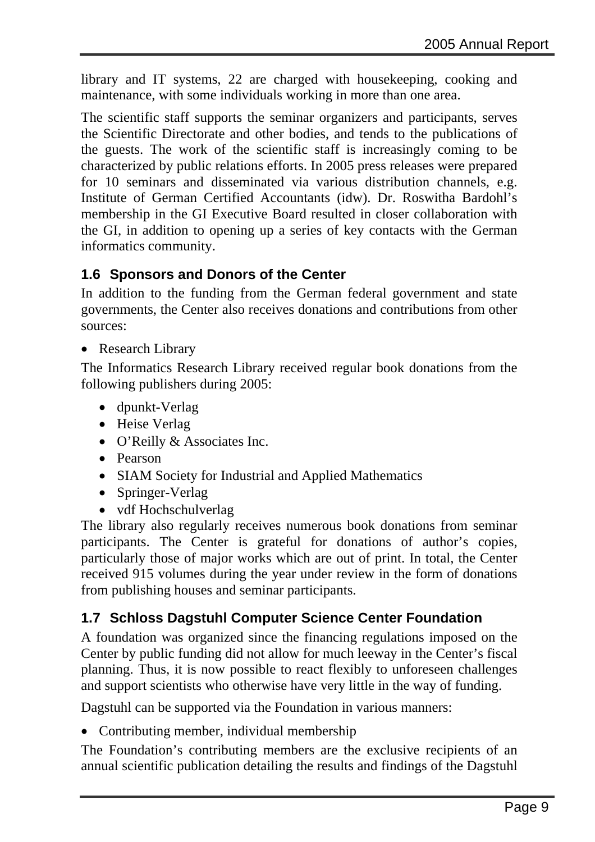library and IT systems, 22 are charged with housekeeping, cooking and maintenance, with some individuals working in more than one area.

The scientific staff supports the seminar organizers and participants, serves the Scientific Directorate and other bodies, and tends to the publications of the guests. The work of the scientific staff is increasingly coming to be characterized by public relations efforts. In 2005 press releases were prepared for 10 seminars and disseminated via various distribution channels, e.g. Institute of German Certified Accountants (idw). Dr. Roswitha Bardohl's membership in the GI Executive Board resulted in closer collaboration with the GI, in addition to opening up a series of key contacts with the German informatics community.

### **1.6 Sponsors and Donors of the Center**

In addition to the funding from the German federal government and state governments, the Center also receives donations and contributions from other sources:

• Research Library

The Informatics Research Library received regular book donations from the following publishers during 2005:

- dpunkt-Verlag
- Heise Verlag
- O'Reilly & Associates Inc.
- Pearson
- SIAM Society for Industrial and Applied Mathematics
- Springer-Verlag
- vdf Hochschulverlag

The library also regularly receives numerous book donations from seminar participants. The Center is grateful for donations of author's copies, particularly those of major works which are out of print. In total, the Center received 915 volumes during the year under review in the form of donations from publishing houses and seminar participants.

### **1.7 Schloss Dagstuhl Computer Science Center Foundation**

A foundation was organized since the financing regulations imposed on the Center by public funding did not allow for much leeway in the Center's fiscal planning. Thus, it is now possible to react flexibly to unforeseen challenges and support scientists who otherwise have very little in the way of funding.

Dagstuhl can be supported via the Foundation in various manners:

• Contributing member, individual membership

The Foundation's contributing members are the exclusive recipients of an annual scientific publication detailing the results and findings of the Dagstuhl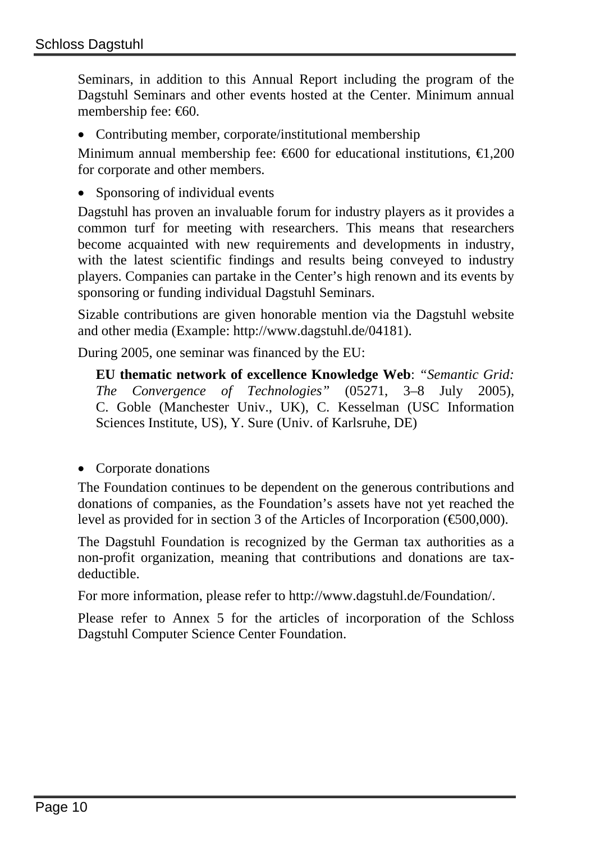Seminars, in addition to this Annual Report including the program of the Dagstuhl Seminars and other events hosted at the Center. Minimum annual membership fee: €60.

• Contributing member, corporate/institutional membership

Minimum annual membership fee:  $600$  for educational institutions,  $61,200$ for corporate and other members.

• Sponsoring of individual events

Dagstuhl has proven an invaluable forum for industry players as it provides a common turf for meeting with researchers. This means that researchers become acquainted with new requirements and developments in industry, with the latest scientific findings and results being conveyed to industry players. Companies can partake in the Center's high renown and its events by sponsoring or funding individual Dagstuhl Seminars.

Sizable contributions are given honorable mention via the Dagstuhl website and other media (Example: http://www.dagstuhl.de/04181).

During 2005, one seminar was financed by the EU:

**EU thematic network of excellence Knowledge Web**: *"Semantic Grid: The Convergence of Technologies"* (05271, 3–8 July 2005), C. Goble (Manchester Univ., UK), C. Kesselman (USC Information Sciences Institute, US), Y. Sure (Univ. of Karlsruhe, DE)

### • Corporate donations

The Foundation continues to be dependent on the generous contributions and donations of companies, as the Foundation's assets have not yet reached the level as provided for in section 3 of the Articles of Incorporation (€500,000).

The Dagstuhl Foundation is recognized by the German tax authorities as a non-profit organization, meaning that contributions and donations are taxdeductible.

For more information, please refer to http://www.dagstuhl.de/Foundation/.

Please refer to Annex 5 for the articles of incorporation of the Schloss Dagstuhl Computer Science Center Foundation.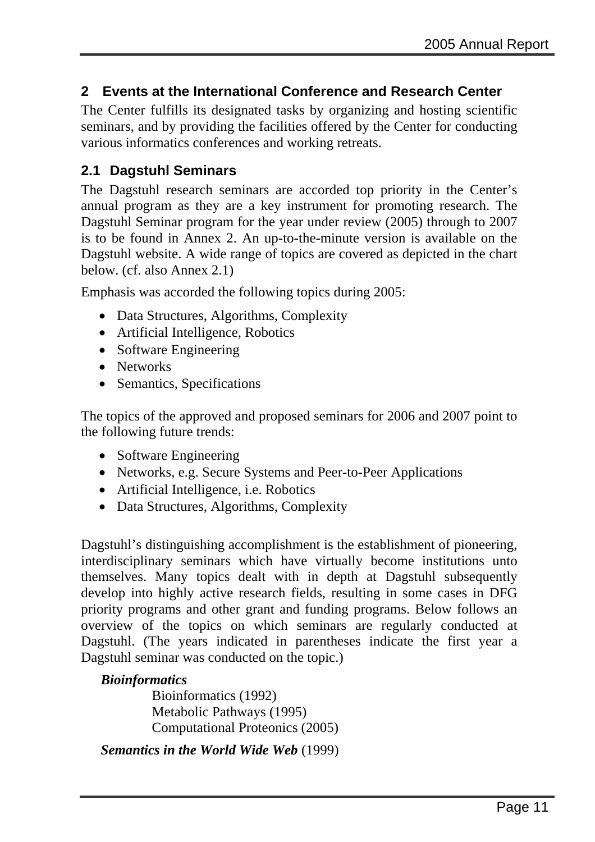### **2 Events at the International Conference and Research Center**

The Center fulfills its designated tasks by organizing and hosting scientific seminars, and by providing the facilities offered by the Center for conducting various informatics conferences and working retreats.

### **2.1 Dagstuhl Seminars**

The Dagstuhl research seminars are accorded top priority in the Center's annual program as they are a key instrument for promoting research. The Dagstuhl Seminar program for the year under review (2005) through to 2007 is to be found in Annex 2. An up-to-the-minute version is available on the Dagstuhl website. A wide range of topics are covered as depicted in the chart below. (cf. also Annex 2.1)

Emphasis was accorded the following topics during 2005:

- Data Structures, Algorithms, Complexity
- Artificial Intelligence, Robotics
- Software Engineering
- Networks
- Semantics, Specifications

The topics of the approved and proposed seminars for 2006 and 2007 point to the following future trends:

- Software Engineering
- Networks, e.g. Secure Systems and Peer-to-Peer Applications
- Artificial Intelligence, i.e. Robotics
- Data Structures, Algorithms, Complexity

Dagstuhl's distinguishing accomplishment is the establishment of pioneering, interdisciplinary seminars which have virtually become institutions unto themselves. Many topics dealt with in depth at Dagstuhl subsequently develop into highly active research fields, resulting in some cases in DFG priority programs and other grant and funding programs. Below follows an overview of the topics on which seminars are regularly conducted at Dagstuhl. (The years indicated in parentheses indicate the first year a Dagstuhl seminar was conducted on the topic.)

### *Bioinformatics*

 Bioinformatics (1992) Metabolic Pathways (1995) Computational Proteonics (2005)

*Semantics in the World Wide Web* (1999)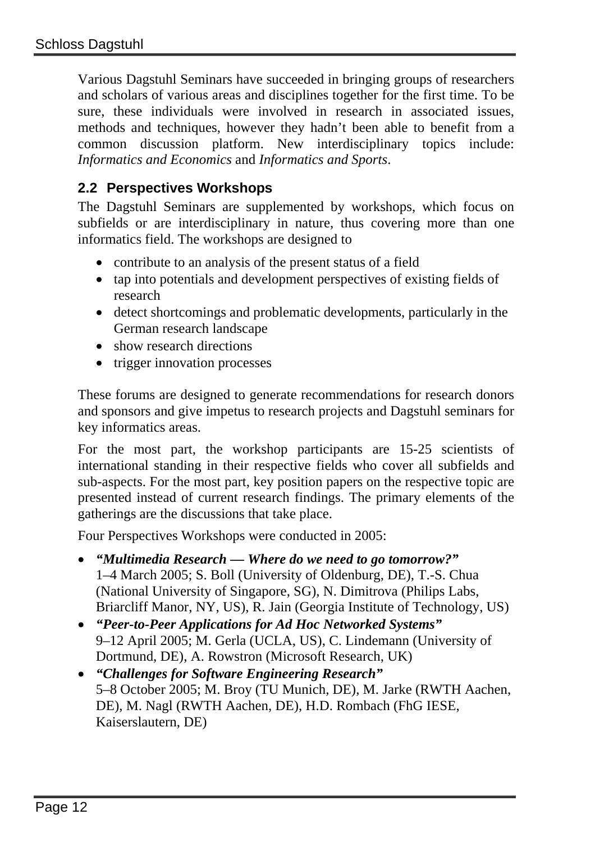Various Dagstuhl Seminars have succeeded in bringing groups of researchers and scholars of various areas and disciplines together for the first time. To be sure, these individuals were involved in research in associated issues, methods and techniques, however they hadn't been able to benefit from a common discussion platform. New interdisciplinary topics include: *Informatics and Economics* and *Informatics and Sports*.

### **2.2 Perspectives Workshops**

The Dagstuhl Seminars are supplemented by workshops, which focus on subfields or are interdisciplinary in nature, thus covering more than one informatics field. The workshops are designed to

- contribute to an analysis of the present status of a field
- tap into potentials and development perspectives of existing fields of research
- detect shortcomings and problematic developments, particularly in the German research landscape
- show research directions
- trigger innovation processes

These forums are designed to generate recommendations for research donors and sponsors and give impetus to research projects and Dagstuhl seminars for key informatics areas.

For the most part, the workshop participants are 15-25 scientists of international standing in their respective fields who cover all subfields and sub-aspects. For the most part, key position papers on the respective topic are presented instead of current research findings. The primary elements of the gatherings are the discussions that take place.

Four Perspectives Workshops were conducted in 2005:

- *"Multimedia Research Where do we need to go tomorrow?"*  1–4 March 2005; S. Boll (University of Oldenburg, DE), T.-S. Chua (National University of Singapore, SG), N. Dimitrova (Philips Labs, Briarcliff Manor, NY, US), R. Jain (Georgia Institute of Technology, US)
- *"Peer-to-Peer Applications for Ad Hoc Networked Systems"* 9–12 April 2005; M. Gerla (UCLA, US), C. Lindemann (University of Dortmund, DE), A. Rowstron (Microsoft Research, UK)
- *"Challenges for Software Engineering Research"*  5–8 October 2005; M. Broy (TU Munich, DE), M. Jarke (RWTH Aachen, DE), M. Nagl (RWTH Aachen, DE), H.D. Rombach (FhG IESE, Kaiserslautern, DE)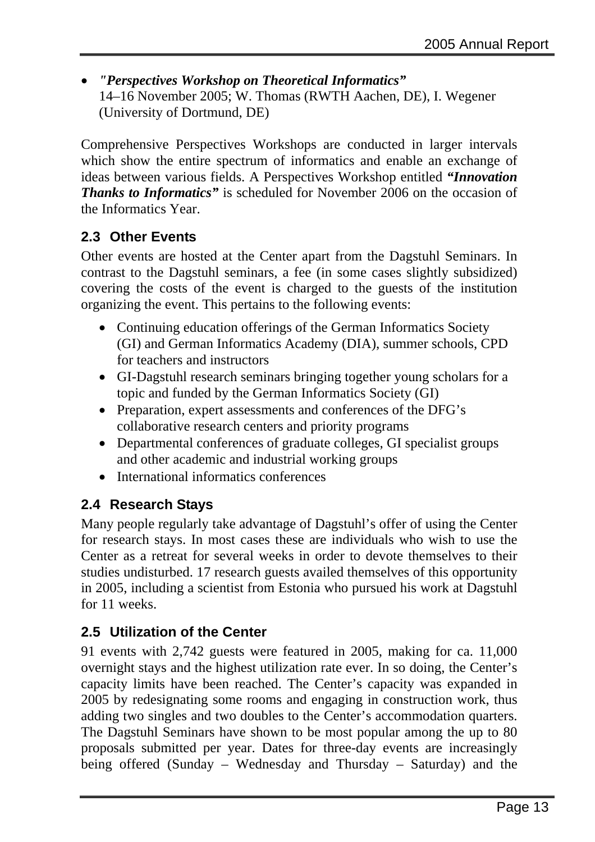• *"Perspectives Workshop on Theoretical Informatics"*  14–16 November 2005; W. Thomas (RWTH Aachen, DE), I. Wegener (University of Dortmund, DE)

Comprehensive Perspectives Workshops are conducted in larger intervals which show the entire spectrum of informatics and enable an exchange of ideas between various fields. A Perspectives Workshop entitled *"Innovation Thanks to Informatics"* is scheduled for November 2006 on the occasion of the Informatics Year.

### **2.3 Other Events**

Other events are hosted at the Center apart from the Dagstuhl Seminars. In contrast to the Dagstuhl seminars, a fee (in some cases slightly subsidized) covering the costs of the event is charged to the guests of the institution organizing the event. This pertains to the following events:

- Continuing education offerings of the German Informatics Society (GI) and German Informatics Academy (DIA), summer schools, CPD for teachers and instructors
- GI-Dagstuhl research seminars bringing together young scholars for a topic and funded by the German Informatics Society (GI)
- Preparation, expert assessments and conferences of the DFG's collaborative research centers and priority programs
- Departmental conferences of graduate colleges, GI specialist groups and other academic and industrial working groups
- International informatics conferences

### **2.4 Research Stays**

Many people regularly take advantage of Dagstuhl's offer of using the Center for research stays. In most cases these are individuals who wish to use the Center as a retreat for several weeks in order to devote themselves to their studies undisturbed. 17 research guests availed themselves of this opportunity in 2005, including a scientist from Estonia who pursued his work at Dagstuhl for 11 weeks.

### **2.5 Utilization of the Center**

91 events with 2,742 guests were featured in 2005, making for ca. 11,000 overnight stays and the highest utilization rate ever. In so doing, the Center's capacity limits have been reached. The Center's capacity was expanded in 2005 by redesignating some rooms and engaging in construction work, thus adding two singles and two doubles to the Center's accommodation quarters. The Dagstuhl Seminars have shown to be most popular among the up to 80 proposals submitted per year. Dates for three-day events are increasingly being offered (Sunday – Wednesday and Thursday – Saturday) and the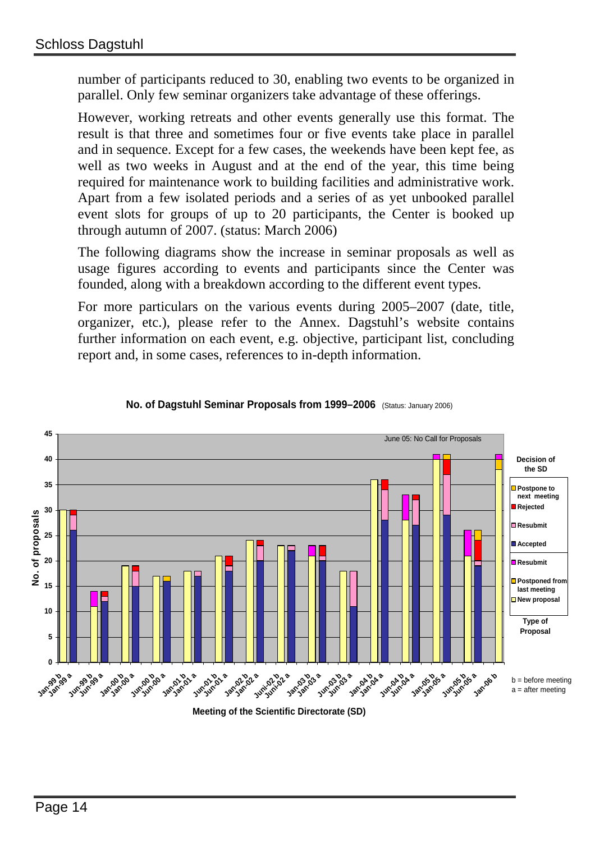number of participants reduced to 30, enabling two events to be organized in parallel. Only few seminar organizers take advantage of these offerings.

However, working retreats and other events generally use this format. The result is that three and sometimes four or five events take place in parallel and in sequence. Except for a few cases, the weekends have been kept fee, as well as two weeks in August and at the end of the year, this time being required for maintenance work to building facilities and administrative work. Apart from a few isolated periods and a series of as yet unbooked parallel event slots for groups of up to 20 participants, the Center is booked up through autumn of 2007. (status: March 2006)

The following diagrams show the increase in seminar proposals as well as usage figures according to events and participants since the Center was founded, along with a breakdown according to the different event types.

For more particulars on the various events during 2005–2007 (date, title, organizer, etc.), please refer to the Annex. Dagstuhl's website contains further information on each event, e.g. objective, participant list, concluding report and, in some cases, references to in-depth information.



#### **No. of Dagstuhl Seminar Proposals from 1999–2006** (Status: January 2006)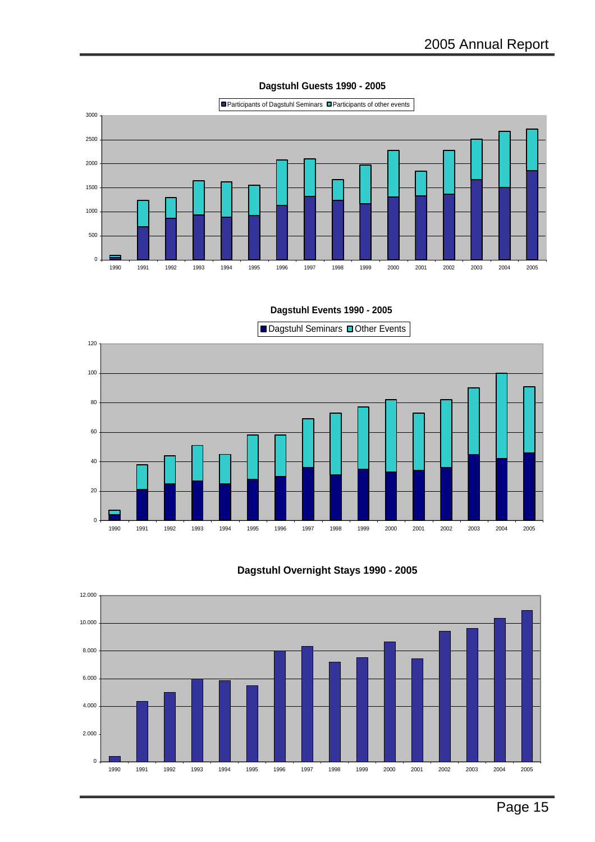

#### **Dagstuhl Guests 1990 - 2005**

**Dagstuhl Events 1990 - 2005**



#### **Dagstuhl Overnight Stays 1990 - 2005**

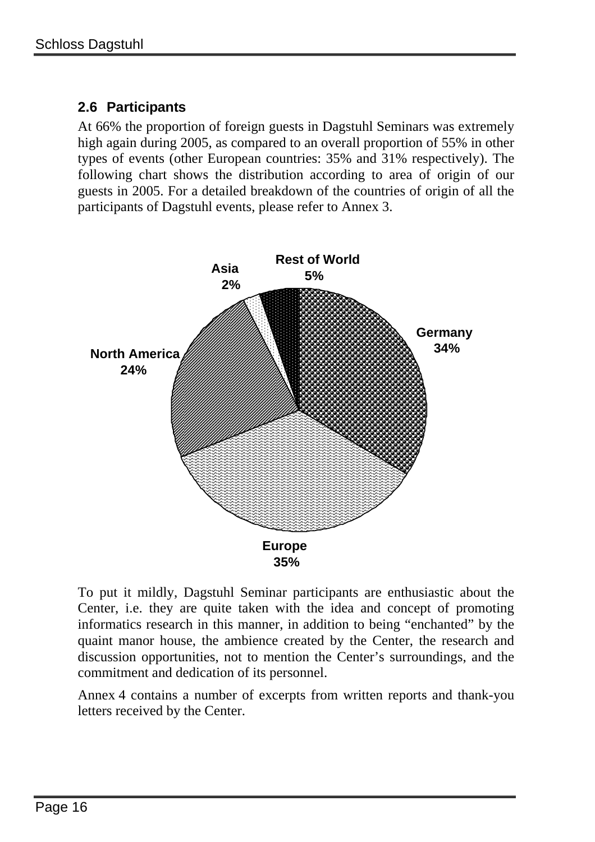### **2.6 Participants**

At 66% the proportion of foreign guests in Dagstuhl Seminars was extremely high again during 2005, as compared to an overall proportion of 55% in other types of events (other European countries: 35% and 31% respectively). The following chart shows the distribution according to area of origin of our guests in 2005. For a detailed breakdown of the countries of origin of all the participants of Dagstuhl events, please refer to Annex 3.



To put it mildly, Dagstuhl Seminar participants are enthusiastic about the Center, i.e. they are quite taken with the idea and concept of promoting informatics research in this manner, in addition to being "enchanted" by the quaint manor house, the ambience created by the Center, the research and discussion opportunities, not to mention the Center's surroundings, and the commitment and dedication of its personnel.

Annex 4 contains a number of excerpts from written reports and thank-you letters received by the Center.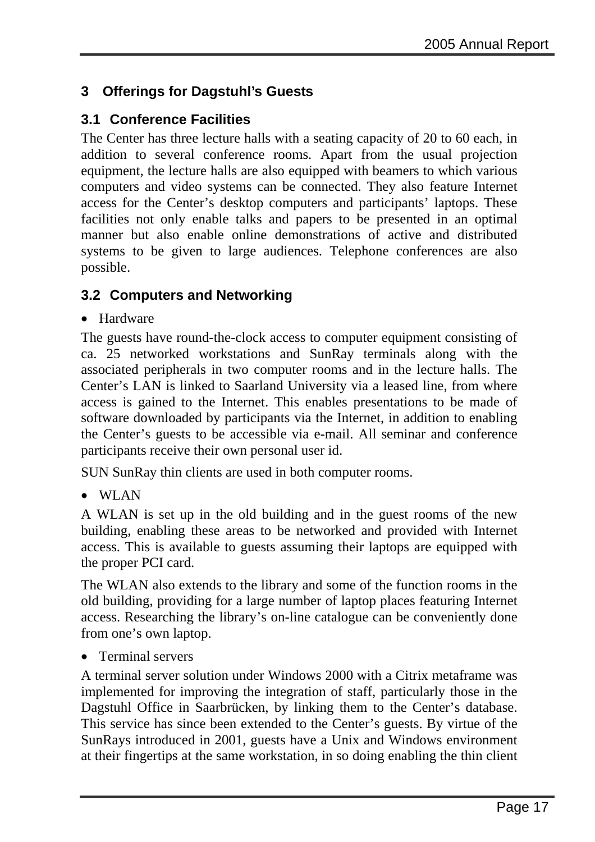### **3 Offerings for Dagstuhl's Guests**

### **3.1 Conference Facilities**

The Center has three lecture halls with a seating capacity of 20 to 60 each, in addition to several conference rooms. Apart from the usual projection equipment, the lecture halls are also equipped with beamers to which various computers and video systems can be connected. They also feature Internet access for the Center's desktop computers and participants' laptops. These facilities not only enable talks and papers to be presented in an optimal manner but also enable online demonstrations of active and distributed systems to be given to large audiences. Telephone conferences are also possible.

### **3.2 Computers and Networking**

• Hardware

The guests have round-the-clock access to computer equipment consisting of ca. 25 networked workstations and SunRay terminals along with the associated peripherals in two computer rooms and in the lecture halls. The Center's LAN is linked to Saarland University via a leased line, from where access is gained to the Internet. This enables presentations to be made of software downloaded by participants via the Internet, in addition to enabling the Center's guests to be accessible via e-mail. All seminar and conference participants receive their own personal user id.

SUN SunRay thin clients are used in both computer rooms.

• WLAN

A WLAN is set up in the old building and in the guest rooms of the new building, enabling these areas to be networked and provided with Internet access. This is available to guests assuming their laptops are equipped with the proper PCI card.

The WLAN also extends to the library and some of the function rooms in the old building, providing for a large number of laptop places featuring Internet access. Researching the library's on-line catalogue can be conveniently done from one's own laptop.

• Terminal servers

A terminal server solution under Windows 2000 with a Citrix metaframe was implemented for improving the integration of staff, particularly those in the Dagstuhl Office in Saarbrücken, by linking them to the Center's database. This service has since been extended to the Center's guests. By virtue of the SunRays introduced in 2001, guests have a Unix and Windows environment at their fingertips at the same workstation, in so doing enabling the thin client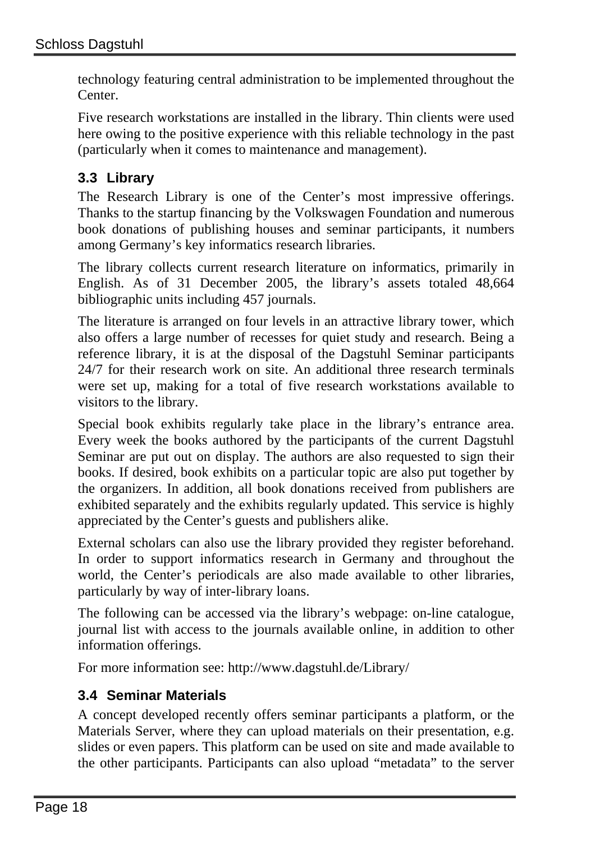technology featuring central administration to be implemented throughout the Center.

Five research workstations are installed in the library. Thin clients were used here owing to the positive experience with this reliable technology in the past (particularly when it comes to maintenance and management).

### **3.3 Library**

The Research Library is one of the Center's most impressive offerings. Thanks to the startup financing by the Volkswagen Foundation and numerous book donations of publishing houses and seminar participants, it numbers among Germany's key informatics research libraries.

The library collects current research literature on informatics, primarily in English. As of 31 December 2005, the library's assets totaled 48,664 bibliographic units including 457 journals.

The literature is arranged on four levels in an attractive library tower, which also offers a large number of recesses for quiet study and research. Being a reference library, it is at the disposal of the Dagstuhl Seminar participants 24/7 for their research work on site. An additional three research terminals were set up, making for a total of five research workstations available to visitors to the library.

Special book exhibits regularly take place in the library's entrance area. Every week the books authored by the participants of the current Dagstuhl Seminar are put out on display. The authors are also requested to sign their books. If desired, book exhibits on a particular topic are also put together by the organizers. In addition, all book donations received from publishers are exhibited separately and the exhibits regularly updated. This service is highly appreciated by the Center's guests and publishers alike.

External scholars can also use the library provided they register beforehand. In order to support informatics research in Germany and throughout the world, the Center's periodicals are also made available to other libraries, particularly by way of inter-library loans.

The following can be accessed via the library's webpage: on-line catalogue, journal list with access to the journals available online, in addition to other information offerings.

For more information see: http://www.dagstuhl.de/Library/

### **3.4 Seminar Materials**

A concept developed recently offers seminar participants a platform, or the Materials Server, where they can upload materials on their presentation, e.g. slides or even papers. This platform can be used on site and made available to the other participants. Participants can also upload "metadata" to the server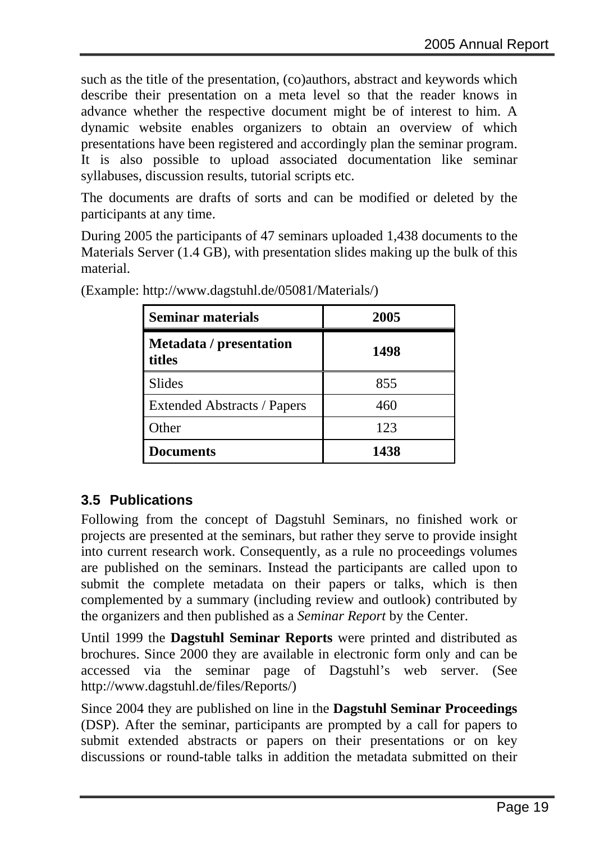such as the title of the presentation, (co)authors, abstract and keywords which describe their presentation on a meta level so that the reader knows in advance whether the respective document might be of interest to him. A dynamic website enables organizers to obtain an overview of which presentations have been registered and accordingly plan the seminar program. It is also possible to upload associated documentation like seminar syllabuses, discussion results, tutorial scripts etc.

The documents are drafts of sorts and can be modified or deleted by the participants at any time.

During 2005 the participants of 47 seminars uploaded 1,438 documents to the Materials Server (1.4 GB), with presentation slides making up the bulk of this material.

| <b>Seminar materials</b>                 | 2005 |  |
|------------------------------------------|------|--|
| <b>Metadata</b> / presentation<br>titles | 1498 |  |
| <b>Slides</b>                            | 855  |  |
| <b>Extended Abstracts / Papers</b>       | 460  |  |
| Other                                    | 123  |  |
| <b>Documents</b>                         | 1438 |  |

(Example: http://www.dagstuhl.de/05081/Materials/)

### **3.5 Publications**

Following from the concept of Dagstuhl Seminars, no finished work or projects are presented at the seminars, but rather they serve to provide insight into current research work. Consequently, as a rule no proceedings volumes are published on the seminars. Instead the participants are called upon to submit the complete metadata on their papers or talks, which is then complemented by a summary (including review and outlook) contributed by the organizers and then published as a *Seminar Report* by the Center.

Until 1999 the **Dagstuhl Seminar Reports** were printed and distributed as brochures. Since 2000 they are available in electronic form only and can be accessed via the seminar page of Dagstuhl's web server. (See http://www.dagstuhl.de/files/Reports/)

Since 2004 they are published on line in the **Dagstuhl Seminar Proceedings** (DSP). After the seminar, participants are prompted by a call for papers to submit extended abstracts or papers on their presentations or on key discussions or round-table talks in addition the metadata submitted on their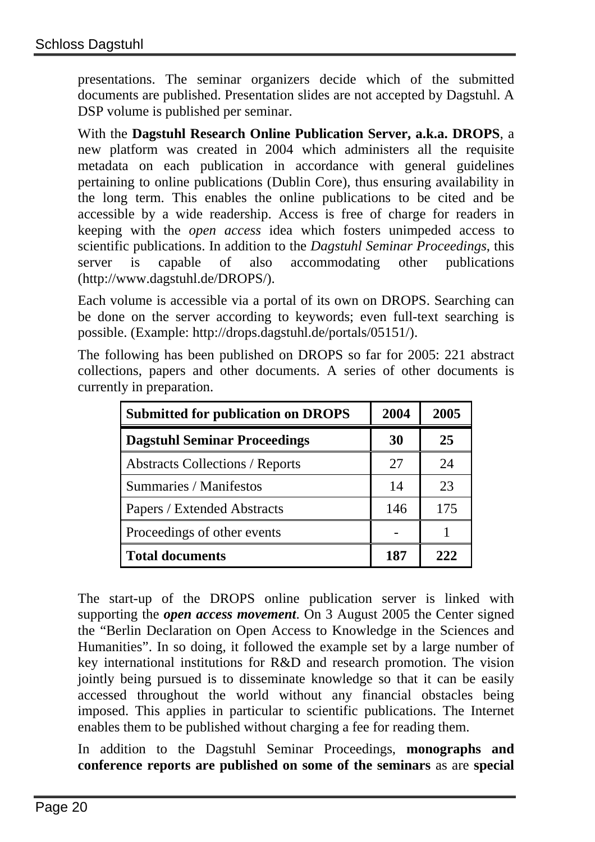presentations. The seminar organizers decide which of the submitted documents are published. Presentation slides are not accepted by Dagstuhl. A DSP volume is published per seminar.

With the **Dagstuhl Research Online Publication Server, a.k.a. DROPS**, a new platform was created in 2004 which administers all the requisite metadata on each publication in accordance with general guidelines pertaining to online publications (Dublin Core), thus ensuring availability in the long term. This enables the online publications to be cited and be accessible by a wide readership. Access is free of charge for readers in keeping with the *open access* idea which fosters unimpeded access to scientific publications. In addition to the *Dagstuhl Seminar Proceedings*, this server is capable of also accommodating other publications (http://www.dagstuhl.de/DROPS/).

Each volume is accessible via a portal of its own on DROPS. Searching can be done on the server according to keywords; even full-text searching is possible. (Example: http://drops.dagstuhl.de/portals/05151/).

The following has been published on DROPS so far for 2005: 221 abstract collections, papers and other documents. A series of other documents is currently in preparation.

| <b>Submitted for publication on DROPS</b> | 2004 | 2005 |
|-------------------------------------------|------|------|
| <b>Dagstuhl Seminar Proceedings</b>       | 30   | 25   |
| <b>Abstracts Collections / Reports</b>    | 27   | 24   |
| Summaries / Manifestos                    | 14   | 23   |
| Papers / Extended Abstracts               | 146  | 175  |
| Proceedings of other events               |      |      |
| <b>Total documents</b>                    | 187  | 222  |

The start-up of the DROPS online publication server is linked with supporting the *open access movement*. On 3 August 2005 the Center signed the "Berlin Declaration on Open Access to Knowledge in the Sciences and Humanities". In so doing, it followed the example set by a large number of key international institutions for R&D and research promotion. The vision jointly being pursued is to disseminate knowledge so that it can be easily accessed throughout the world without any financial obstacles being imposed. This applies in particular to scientific publications. The Internet enables them to be published without charging a fee for reading them.

In addition to the Dagstuhl Seminar Proceedings, **monographs and conference reports are published on some of the seminars** as are **special**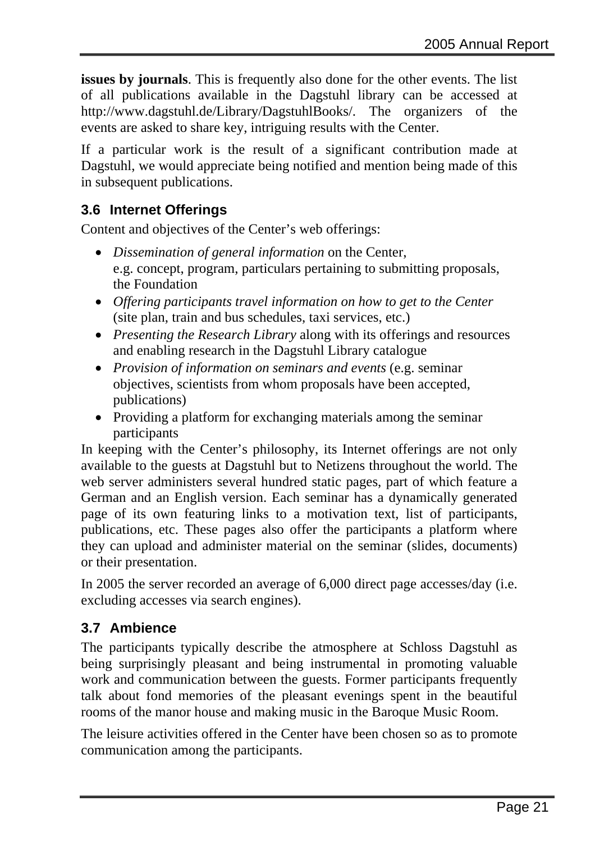**issues by journals**. This is frequently also done for the other events. The list of all publications available in the Dagstuhl library can be accessed at http://www.dagstuhl.de/Library/DagstuhlBooks/. The organizers of the events are asked to share key, intriguing results with the Center.

If a particular work is the result of a significant contribution made at Dagstuhl, we would appreciate being notified and mention being made of this in subsequent publications.

### **3.6 Internet Offerings**

Content and objectives of the Center's web offerings:

- *Dissemination of general information* on the Center, e.g. concept, program, particulars pertaining to submitting proposals, the Foundation
- *Offering participants travel information on how to get to the Center* (site plan, train and bus schedules, taxi services, etc.)
- *Presenting the Research Library* along with its offerings and resources and enabling research in the Dagstuhl Library catalogue
- *Provision of information on seminars and events* (e.g. seminar objectives, scientists from whom proposals have been accepted, publications)
- Providing a platform for exchanging materials among the seminar participants

In keeping with the Center's philosophy, its Internet offerings are not only available to the guests at Dagstuhl but to Netizens throughout the world. The web server administers several hundred static pages, part of which feature a German and an English version. Each seminar has a dynamically generated page of its own featuring links to a motivation text, list of participants, publications, etc. These pages also offer the participants a platform where they can upload and administer material on the seminar (slides, documents) or their presentation.

In 2005 the server recorded an average of 6,000 direct page accesses/day (i.e. excluding accesses via search engines).

### **3.7 Ambience**

The participants typically describe the atmosphere at Schloss Dagstuhl as being surprisingly pleasant and being instrumental in promoting valuable work and communication between the guests. Former participants frequently talk about fond memories of the pleasant evenings spent in the beautiful rooms of the manor house and making music in the Baroque Music Room.

The leisure activities offered in the Center have been chosen so as to promote communication among the participants.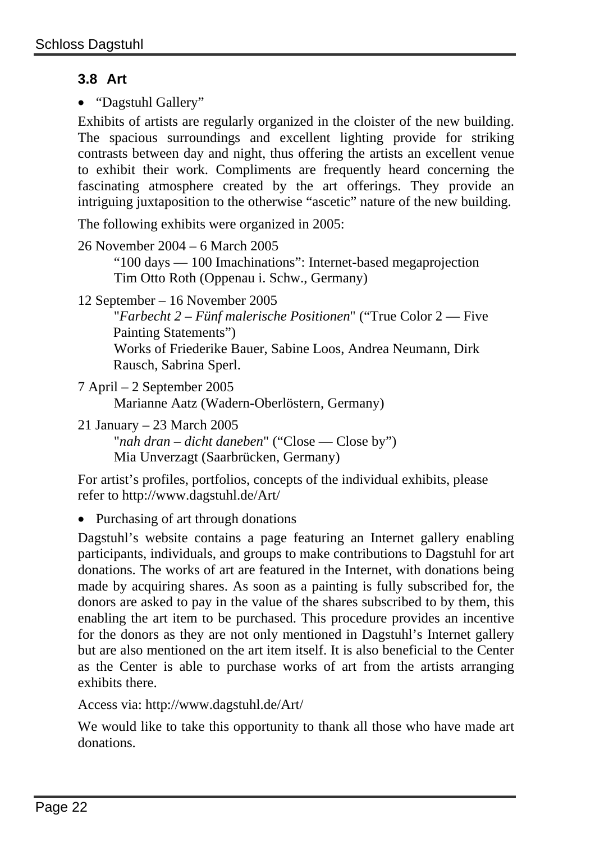### **3.8 Art**

• "Dagstuhl Gallery"

Exhibits of artists are regularly organized in the cloister of the new building. The spacious surroundings and excellent lighting provide for striking contrasts between day and night, thus offering the artists an excellent venue to exhibit their work. Compliments are frequently heard concerning the fascinating atmosphere created by the art offerings. They provide an intriguing juxtaposition to the otherwise "ascetic" nature of the new building.

The following exhibits were organized in 2005:

```
26 November 2004 – 6 March 2005
```
 "100 days — 100 Imachinations": Internet-based megaprojection Tim Otto Roth (Oppenau i. Schw., Germany)

12 September – 16 November 2005

 "*Farbecht 2 – Fünf malerische Positionen*" ("True Color 2 — Five Painting Statements")

 Works of Friederike Bauer, Sabine Loos, Andrea Neumann, Dirk Rausch, Sabrina Sperl.

7 April – 2 September 2005 Marianne Aatz (Wadern-Oberlöstern, Germany)

21 January – 23 March 2005

 "*nah dran – dicht daneben*" ("Close — Close by") Mia Unverzagt (Saarbrücken, Germany)

For artist's profiles, portfolios, concepts of the individual exhibits, please refer to http://www.dagstuhl.de/Art/

• Purchasing of art through donations

Dagstuhl's website contains a page featuring an Internet gallery enabling participants, individuals, and groups to make contributions to Dagstuhl for art donations. The works of art are featured in the Internet, with donations being made by acquiring shares. As soon as a painting is fully subscribed for, the donors are asked to pay in the value of the shares subscribed to by them, this enabling the art item to be purchased. This procedure provides an incentive for the donors as they are not only mentioned in Dagstuhl's Internet gallery but are also mentioned on the art item itself. It is also beneficial to the Center as the Center is able to purchase works of art from the artists arranging exhibits there.

Access via: http://www.dagstuhl.de/Art/

We would like to take this opportunity to thank all those who have made art donations.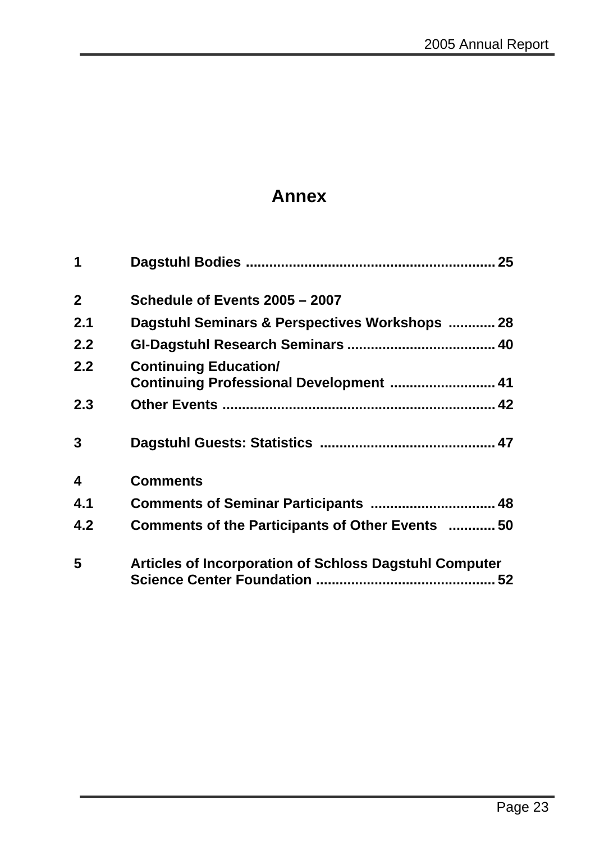# **Annex**

| 1                       |                                                                         |
|-------------------------|-------------------------------------------------------------------------|
| $\overline{2}$          | Schedule of Events 2005 - 2007                                          |
| 2.1                     | Dagstuhl Seminars & Perspectives Workshops  28                          |
| $2.2^{\circ}$           |                                                                         |
| 2.2                     | <b>Continuing Education/</b><br>Continuing Professional Development  41 |
| 2.3                     |                                                                         |
| 3                       |                                                                         |
| $\overline{\mathbf{4}}$ | <b>Comments</b>                                                         |
| 4.1                     |                                                                         |
| 4.2                     | Comments of the Participants of Other Events  50                        |
| 5                       | Articles of Incorporation of Schloss Dagstuhl Computer                  |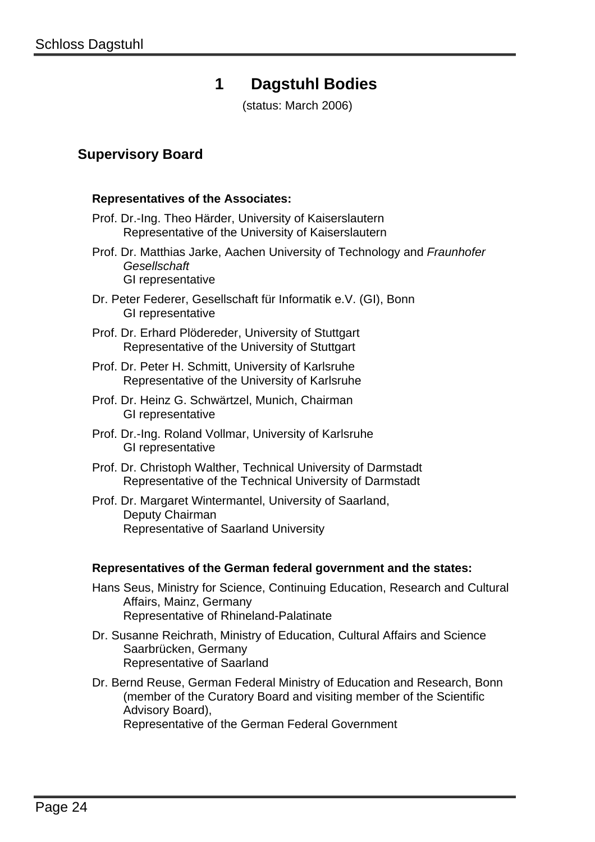## **1 Dagstuhl Bodies**

(status: March 2006)

### **Supervisory Board**

#### **Representatives of the Associates:**

- Prof. Dr.-Ing. Theo Härder, University of Kaiserslautern Representative of the University of Kaiserslautern
- Prof. Dr. Matthias Jarke, Aachen University of Technology and *Fraunhofer Gesellschaft* GI representative
- Dr. Peter Federer, Gesellschaft für Informatik e.V. (GI), Bonn GI representative
- Prof. Dr. Erhard Plödereder, University of Stuttgart Representative of the University of Stuttgart
- Prof. Dr. Peter H. Schmitt, University of Karlsruhe Representative of the University of Karlsruhe
- Prof. Dr. Heinz G. Schwärtzel, Munich, Chairman GI representative
- Prof. Dr.-Ing. Roland Vollmar, University of Karlsruhe GI representative
- Prof. Dr. Christoph Walther, Technical University of Darmstadt Representative of the Technical University of Darmstadt
- Prof. Dr. Margaret Wintermantel, University of Saarland, Deputy Chairman Representative of Saarland University

#### **Representatives of the German federal government and the states:**

- Hans Seus, Ministry for Science, Continuing Education, Research and Cultural Affairs, Mainz, Germany Representative of Rhineland-Palatinate
- Dr. Susanne Reichrath, Ministry of Education, Cultural Affairs and Science Saarbrücken, Germany Representative of Saarland
- Dr. Bernd Reuse, German Federal Ministry of Education and Research, Bonn (member of the Curatory Board and visiting member of the Scientific Advisory Board), Representative of the German Federal Government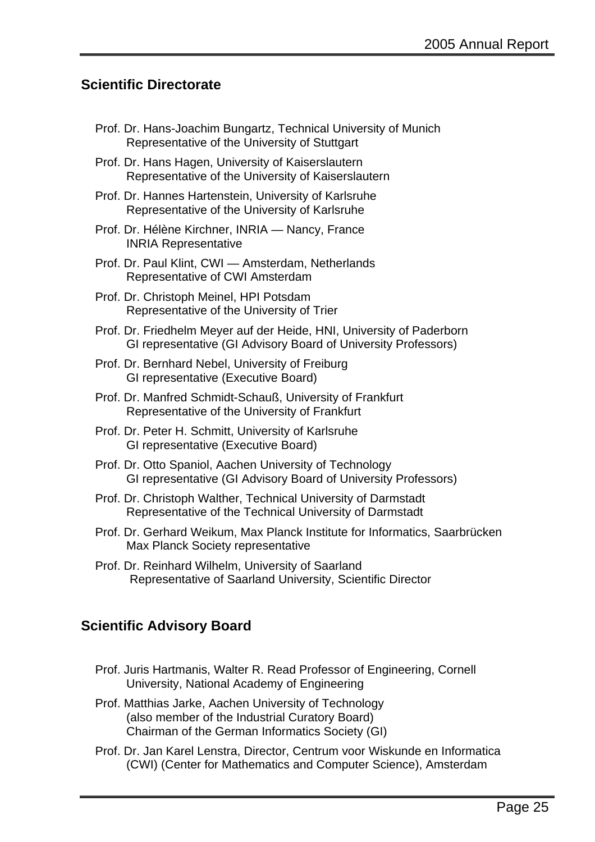### **Scientific Directorate**

- Prof. Dr. Hans-Joachim Bungartz, Technical University of Munich Representative of the University of Stuttgart
- Prof. Dr. Hans Hagen, University of Kaiserslautern Representative of the University of Kaiserslautern
- Prof. Dr. Hannes Hartenstein, University of Karlsruhe Representative of the University of Karlsruhe
- Prof. Dr. Hélène Kirchner, INRIA Nancy, France INRIA Representative
- Prof. Dr. Paul Klint, CWI Amsterdam, Netherlands Representative of CWI Amsterdam
- Prof. Dr. Christoph Meinel, HPI Potsdam Representative of the University of Trier
- Prof. Dr. Friedhelm Meyer auf der Heide, HNI, University of Paderborn GI representative (GI Advisory Board of University Professors)
- Prof. Dr. Bernhard Nebel, University of Freiburg GI representative (Executive Board)
- Prof. Dr. Manfred Schmidt-Schauß, University of Frankfurt Representative of the University of Frankfurt
- Prof. Dr. Peter H. Schmitt, University of Karlsruhe GI representative (Executive Board)
- Prof. Dr. Otto Spaniol, Aachen University of Technology GI representative (GI Advisory Board of University Professors)
- Prof. Dr. Christoph Walther, Technical University of Darmstadt Representative of the Technical University of Darmstadt
- Prof. Dr. Gerhard Weikum, Max Planck Institute for Informatics, Saarbrücken Max Planck Society representative
- Prof. Dr. Reinhard Wilhelm, University of Saarland Representative of Saarland University, Scientific Director

### **Scientific Advisory Board**

- Prof. Juris Hartmanis, Walter R. Read Professor of Engineering, Cornell University, National Academy of Engineering
- Prof. Matthias Jarke, Aachen University of Technology (also member of the Industrial Curatory Board) Chairman of the German Informatics Society (GI)
- Prof. Dr. Jan Karel Lenstra, Director, Centrum voor Wiskunde en Informatica (CWI) (Center for Mathematics and Computer Science), Amsterdam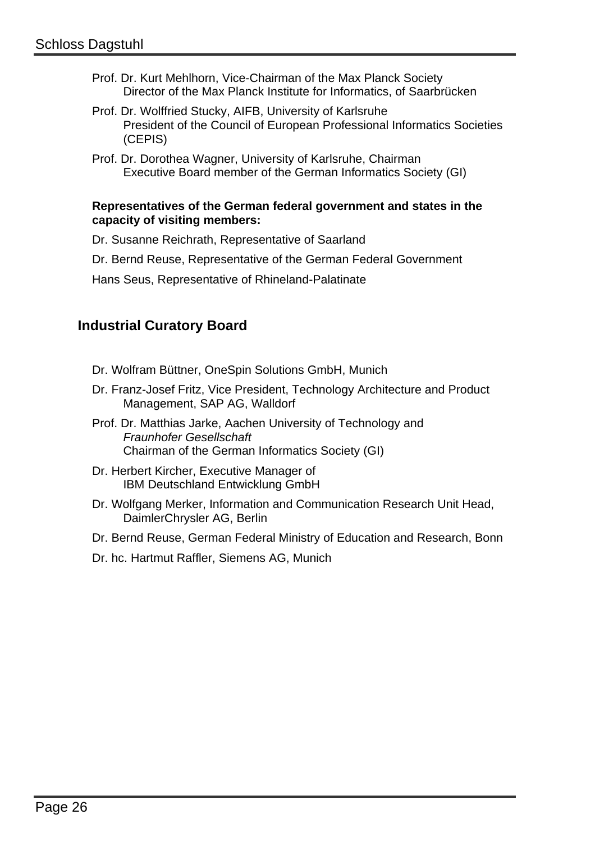- Prof. Dr. Kurt Mehlhorn, Vice-Chairman of the Max Planck Society Director of the Max Planck Institute for Informatics, of Saarbrücken
- Prof. Dr. Wolffried Stucky, AIFB, University of Karlsruhe President of the Council of European Professional Informatics Societies (CEPIS)
- Prof. Dr. Dorothea Wagner, University of Karlsruhe, Chairman Executive Board member of the German Informatics Society (GI)

#### **Representatives of the German federal government and states in the capacity of visiting members:**

- Dr. Susanne Reichrath, Representative of Saarland
- Dr. Bernd Reuse, Representative of the German Federal Government
- Hans Seus, Representative of Rhineland-Palatinate

### **Industrial Curatory Board**

- Dr. Wolfram Büttner, OneSpin Solutions GmbH, Munich
- Dr. Franz-Josef Fritz, Vice President, Technology Architecture and Product Management, SAP AG, Walldorf
- Prof. Dr. Matthias Jarke, Aachen University of Technology and *Fraunhofer Gesellschaft* Chairman of the German Informatics Society (GI)
- Dr. Herbert Kircher, Executive Manager of IBM Deutschland Entwicklung GmbH
- Dr. Wolfgang Merker, Information and Communication Research Unit Head, DaimlerChrysler AG, Berlin
- Dr. Bernd Reuse, German Federal Ministry of Education and Research, Bonn
- Dr. hc. Hartmut Raffler, Siemens AG, Munich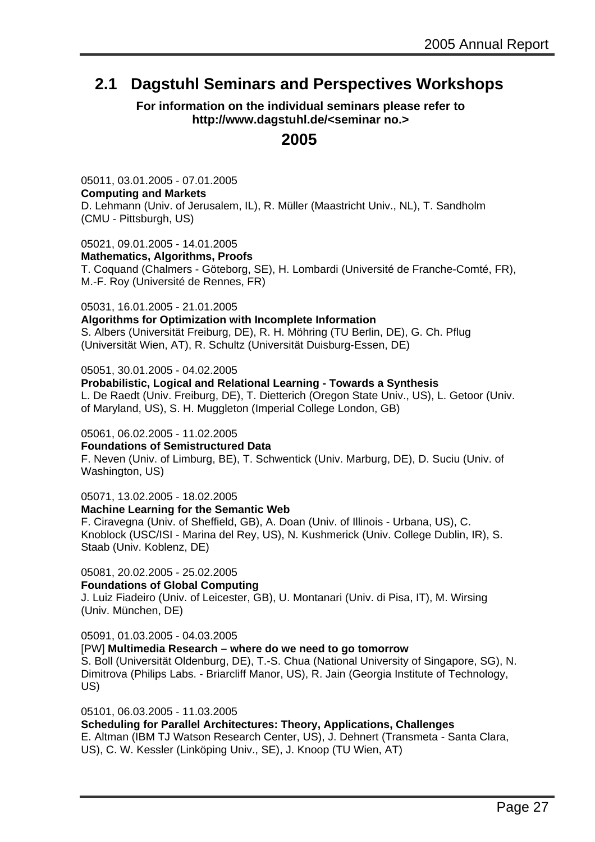### **2.1 Dagstuhl Seminars and Perspectives Workshops**

#### **For information on the individual seminars please refer to http://www.dagstuhl.de/<seminar no.>**

### **2005**

05011, 03.01.2005 - 07.01.2005 **Computing and Markets** 

D. Lehmann (Univ. of Jerusalem, IL), R. Müller (Maastricht Univ., NL), T. Sandholm (CMU - Pittsburgh, US)

05021, 09.01.2005 - 14.01.2005 **Mathematics, Algorithms, Proofs**  T. Coquand (Chalmers - Göteborg, SE), H. Lombardi (Université de Franche-Comté, FR), M.-F. Roy (Université de Rennes, FR)

#### 05031, 16.01.2005 - 21.01.2005

**Algorithms for Optimization with Incomplete Information** 

S. Albers (Universität Freiburg, DE), R. H. Möhring (TU Berlin, DE), G. Ch. Pflug (Universität Wien, AT), R. Schultz (Universität Duisburg-Essen, DE)

05051, 30.01.2005 - 04.02.2005

**Probabilistic, Logical and Relational Learning - Towards a Synthesis** 

L. De Raedt (Univ. Freiburg, DE), T. Dietterich (Oregon State Univ., US), L. Getoor (Univ. of Maryland, US), S. H. Muggleton (Imperial College London, GB)

05061, 06.02.2005 - 11.02.2005

**Foundations of Semistructured Data** 

F. Neven (Univ. of Limburg, BE), T. Schwentick (Univ. Marburg, DE), D. Suciu (Univ. of Washington, US)

05071, 13.02.2005 - 18.02.2005 **Machine Learning for the Semantic Web**  F. Ciravegna (Univ. of Sheffield, GB), A. Doan (Univ. of Illinois - Urbana, US), C. Knoblock (USC/ISI - Marina del Rey, US), N. Kushmerick (Univ. College Dublin, IR), S. Staab (Univ. Koblenz, DE)

05081, 20.02.2005 - 25.02.2005 **Foundations of Global Computing**  J. Luiz Fiadeiro (Univ. of Leicester, GB), U. Montanari (Univ. di Pisa, IT), M. Wirsing (Univ. München, DE)

05091, 01.03.2005 - 04.03.2005

[PW] **Multimedia Research – where do we need to go tomorrow** 

S. Boll (Universität Oldenburg, DE), T.-S. Chua (National University of Singapore, SG), N. Dimitrova (Philips Labs. - Briarcliff Manor, US), R. Jain (Georgia Institute of Technology, US)

05101, 06.03.2005 - 11.03.2005 **Scheduling for Parallel Architectures: Theory, Applications, Challenges**  E. Altman (IBM TJ Watson Research Center, US), J. Dehnert (Transmeta - Santa Clara, US), C. W. Kessler (Linköping Univ., SE), J. Knoop (TU Wien, AT)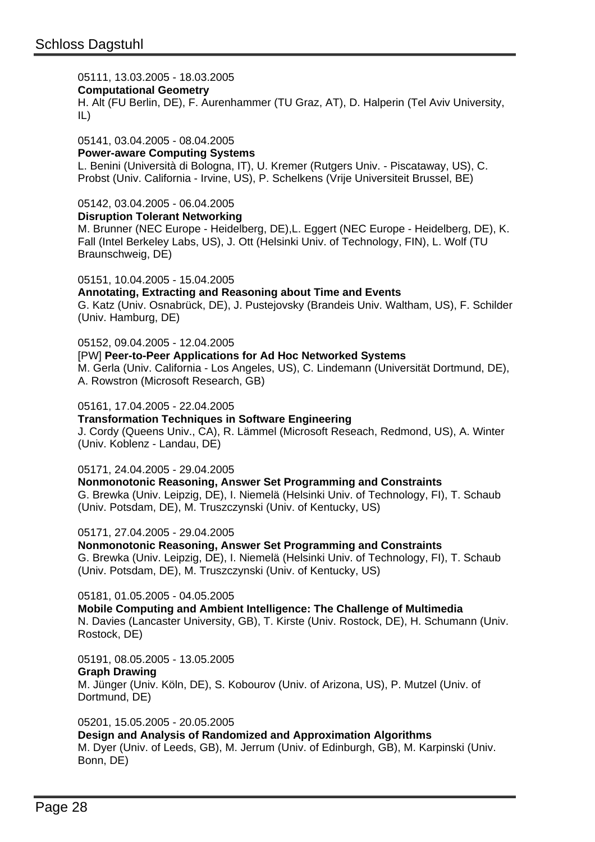#### 05111, 13.03.2005 - 18.03.2005

#### **Computational Geometry**

H. Alt (FU Berlin, DE), F. Aurenhammer (TU Graz, AT), D. Halperin (Tel Aviv University, IL)

05141, 03.04.2005 - 08.04.2005

#### **Power-aware Computing Systems**

L. Benini (Università di Bologna, IT), U. Kremer (Rutgers Univ. - Piscataway, US), C. Probst (Univ. California - Irvine, US), P. Schelkens (Vrije Universiteit Brussel, BE)

05142, 03.04.2005 - 06.04.2005

#### **Disruption Tolerant Networking**

M. Brunner (NEC Europe - Heidelberg, DE),L. Eggert (NEC Europe - Heidelberg, DE), K. Fall (Intel Berkeley Labs, US), J. Ott (Helsinki Univ. of Technology, FIN), L. Wolf (TU Braunschweig, DE)

#### 05151, 10.04.2005 - 15.04.2005

#### **Annotating, Extracting and Reasoning about Time and Events**

G. Katz (Univ. Osnabrück, DE), J. Pustejovsky (Brandeis Univ. Waltham, US), F. Schilder (Univ. Hamburg, DE)

05152, 09.04.2005 - 12.04.2005

[PW] **Peer-to-Peer Applications for Ad Hoc Networked Systems** 

M. Gerla (Univ. California - Los Angeles, US), C. Lindemann (Universität Dortmund, DE), A. Rowstron (Microsoft Research, GB)

#### 05161, 17.04.2005 - 22.04.2005

**Transformation Techniques in Software Engineering** 

J. Cordy (Queens Univ., CA), R. Lämmel (Microsoft Reseach, Redmond, US), A. Winter (Univ. Koblenz - Landau, DE)

05171, 24.04.2005 - 29.04.2005

**Nonmonotonic Reasoning, Answer Set Programming and Constraints**  G. Brewka (Univ. Leipzig, DE), I. Niemelä (Helsinki Univ. of Technology, FI), T. Schaub (Univ. Potsdam, DE), M. Truszczynski (Univ. of Kentucky, US)

05171, 27.04.2005 - 29.04.2005

**Nonmonotonic Reasoning, Answer Set Programming and Constraints**  G. Brewka (Univ. Leipzig, DE), I. Niemelä (Helsinki Univ. of Technology, FI), T. Schaub (Univ. Potsdam, DE), M. Truszczynski (Univ. of Kentucky, US)

05181, 01.05.2005 - 04.05.2005

**Mobile Computing and Ambient Intelligence: The Challenge of Multimedia**  N. Davies (Lancaster University, GB), T. Kirste (Univ. Rostock, DE), H. Schumann (Univ. Rostock, DE)

05191, 08.05.2005 - 13.05.2005 **Graph Drawing**  M. Jünger (Univ. Köln, DE), S. Kobourov (Univ. of Arizona, US), P. Mutzel (Univ. of Dortmund, DE)

05201, 15.05.2005 - 20.05.2005 **Design and Analysis of Randomized and Approximation Algorithms**  M. Dyer (Univ. of Leeds, GB), M. Jerrum (Univ. of Edinburgh, GB), M. Karpinski (Univ. Bonn, DE)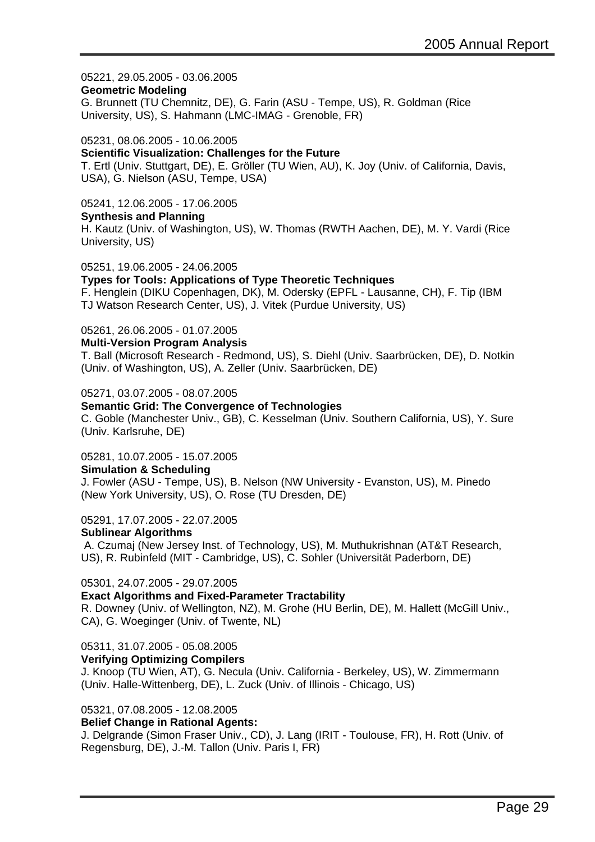05221, 29.05.2005 - 03.06.2005

#### **Geometric Modeling**

G. Brunnett (TU Chemnitz, DE), G. Farin (ASU - Tempe, US), R. Goldman (Rice University, US), S. Hahmann (LMC-IMAG - Grenoble, FR)

#### 05231, 08.06.2005 - 10.06.2005

#### **Scientific Visualization: Challenges for the Future**

T. Ertl (Univ. Stuttgart, DE), E. Gröller (TU Wien, AU), K. Joy (Univ. of California, Davis, USA), G. Nielson (ASU, Tempe, USA)

#### 05241, 12.06.2005 - 17.06.2005

#### **Synthesis and Planning**

H. Kautz (Univ. of Washington, US), W. Thomas (RWTH Aachen, DE), M. Y. Vardi (Rice University, US)

#### 05251, 19.06.2005 - 24.06.2005

#### **Types for Tools: Applications of Type Theoretic Techniques**

F. Henglein (DIKU Copenhagen, DK), M. Odersky (EPFL - Lausanne, CH), F. Tip (IBM TJ Watson Research Center, US), J. Vitek (Purdue University, US)

#### 05261, 26.06.2005 - 01.07.2005

#### **Multi-Version Program Analysis**

T. Ball (Microsoft Research - Redmond, US), S. Diehl (Univ. Saarbrücken, DE), D. Notkin (Univ. of Washington, US), A. Zeller (Univ. Saarbrücken, DE)

#### 05271, 03.07.2005 - 08.07.2005

#### **Semantic Grid: The Convergence of Technologies**

C. Goble (Manchester Univ., GB), C. Kesselman (Univ. Southern California, US), Y. Sure (Univ. Karlsruhe, DE)

#### 05281, 10.07.2005 - 15.07.2005

### **Simulation & Scheduling**

J. Fowler (ASU - Tempe, US), B. Nelson (NW University - Evanston, US), M. Pinedo (New York University, US), O. Rose (TU Dresden, DE)

05291, 17.07.2005 - 22.07.2005

#### **Sublinear Algorithms**

 A. Czumaj (New Jersey Inst. of Technology, US), M. Muthukrishnan (AT&T Research, US), R. Rubinfeld (MIT - Cambridge, US), C. Sohler (Universität Paderborn, DE)

#### 05301, 24.07.2005 - 29.07.2005

#### **Exact Algorithms and Fixed-Parameter Tractability**

R. Downey (Univ. of Wellington, NZ), M. Grohe (HU Berlin, DE), M. Hallett (McGill Univ., CA), G. Woeginger (Univ. of Twente, NL)

05311, 31.07.2005 - 05.08.2005

#### **Verifying Optimizing Compilers**

J. Knoop (TU Wien, AT), G. Necula (Univ. California - Berkeley, US), W. Zimmermann (Univ. Halle-Wittenberg, DE), L. Zuck (Univ. of Illinois - Chicago, US)

05321, 07.08.2005 - 12.08.2005

**Belief Change in Rational Agents:** 

J. Delgrande (Simon Fraser Univ., CD), J. Lang (IRIT - Toulouse, FR), H. Rott (Univ. of Regensburg, DE), J.-M. Tallon (Univ. Paris I, FR)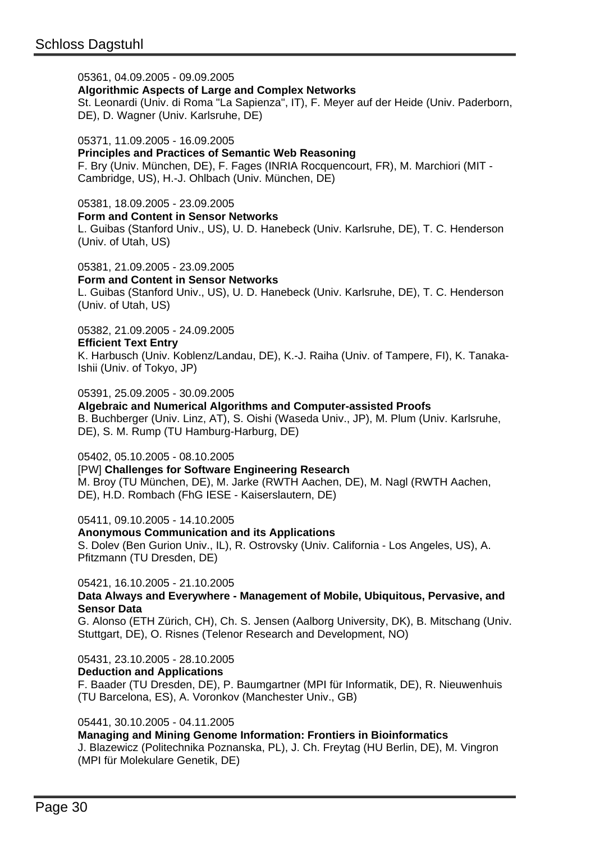05361, 04.09.2005 - 09.09.2005

**Algorithmic Aspects of Large and Complex Networks** 

St. Leonardi (Univ. di Roma "La Sapienza", IT), F. Meyer auf der Heide (Univ. Paderborn, DE), D. Wagner (Univ. Karlsruhe, DE)

05371, 11.09.2005 - 16.09.2005

**Principles and Practices of Semantic Web Reasoning**  F. Bry (Univ. München, DE), F. Fages (INRIA Rocquencourt, FR), M. Marchiori (MIT - Cambridge, US), H.-J. Ohlbach (Univ. München, DE)

05381, 18.09.2005 - 23.09.2005

**Form and Content in Sensor Networks** 

L. Guibas (Stanford Univ., US), U. D. Hanebeck (Univ. Karlsruhe, DE), T. C. Henderson (Univ. of Utah, US)

05381, 21.09.2005 - 23.09.2005 **Form and Content in Sensor Networks**  L. Guibas (Stanford Univ., US), U. D. Hanebeck (Univ. Karlsruhe, DE), T. C. Henderson (Univ. of Utah, US)

05382, 21.09.2005 - 24.09.2005

#### **Efficient Text Entry**

K. Harbusch (Univ. Koblenz/Landau, DE), K.-J. Raiha (Univ. of Tampere, FI), K. Tanaka-Ishii (Univ. of Tokyo, JP)

05391, 25.09.2005 - 30.09.2005

**Algebraic and Numerical Algorithms and Computer-assisted Proofs**  B. Buchberger (Univ. Linz, AT), S. Oishi (Waseda Univ., JP), M. Plum (Univ. Karlsruhe, DE), S. M. Rump (TU Hamburg-Harburg, DE)

05402, 05.10.2005 - 08.10.2005

#### [PW] **Challenges for Software Engineering Research**

M. Broy (TU München, DE), M. Jarke (RWTH Aachen, DE), M. Nagl (RWTH Aachen, DE), H.D. Rombach (FhG IESE - Kaiserslautern, DE)

05411, 09.10.2005 - 14.10.2005

**Anonymous Communication and its Applications** 

S. Dolev (Ben Gurion Univ., IL), R. Ostrovsky (Univ. California - Los Angeles, US), A. Pfitzmann (TU Dresden, DE)

05421, 16.10.2005 - 21.10.2005

**Data Always and Everywhere - Management of Mobile, Ubiquitous, Pervasive, and Sensor Data** 

G. Alonso (ETH Zürich, CH), Ch. S. Jensen (Aalborg University, DK), B. Mitschang (Univ. Stuttgart, DE), O. Risnes (Telenor Research and Development, NO)

05431, 23.10.2005 - 28.10.2005

**Deduction and Applications** 

F. Baader (TU Dresden, DE), P. Baumgartner (MPI für Informatik, DE), R. Nieuwenhuis (TU Barcelona, ES), A. Voronkov (Manchester Univ., GB)

05441, 30.10.2005 - 04.11.2005

**Managing and Mining Genome Information: Frontiers in Bioinformatics**  J. Blazewicz (Politechnika Poznanska, PL), J. Ch. Freytag (HU Berlin, DE), M. Vingron (MPI für Molekulare Genetik, DE)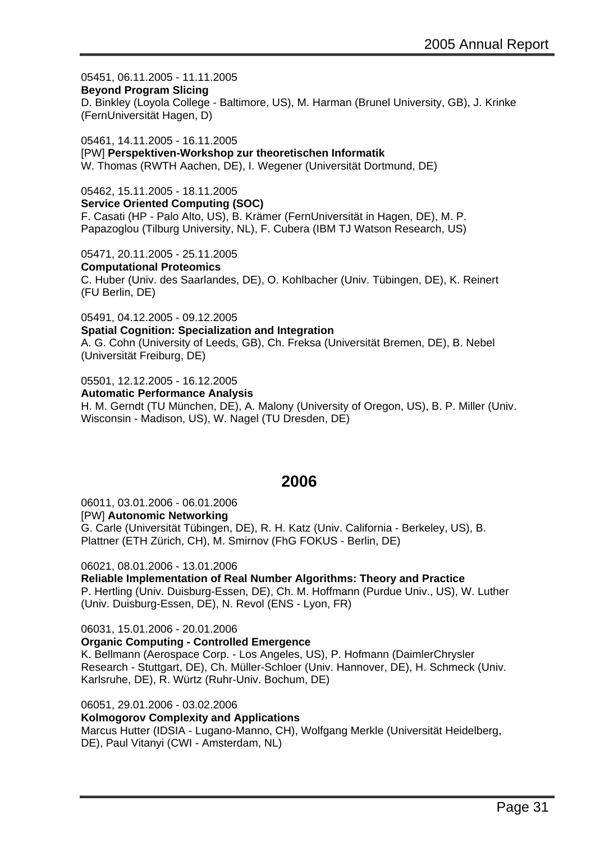05451, 06.11.2005 - 11.11.2005

**Beyond Program Slicing** 

D. Binkley (Loyola College - Baltimore, US), M. Harman (Brunel University, GB), J. Krinke (FernUniversität Hagen, D)

05461, 14.11.2005 - 16.11.2005 [PW] **Perspektiven-Workshop zur theoretischen Informatik**  W. Thomas (RWTH Aachen, DE), I. Wegener (Universität Dortmund, DE)

05462, 15.11.2005 - 18.11.2005 **Service Oriented Computing (SOC)**  F. Casati (HP - Palo Alto, US), B. Krämer (FernUniversität in Hagen, DE), M. P. Papazoglou (Tilburg University, NL), F. Cubera (IBM TJ Watson Research, US)

05471, 20.11.2005 - 25.11.2005

**Computational Proteomics** 

C. Huber (Univ. des Saarlandes, DE), O. Kohlbacher (Univ. Tübingen, DE), K. Reinert (FU Berlin, DE)

05491, 04.12.2005 - 09.12.2005 **Spatial Cognition: Specialization and Integration**  A. G. Cohn (University of Leeds, GB), Ch. Freksa (Universität Bremen, DE), B. Nebel (Universität Freiburg, DE)

05501, 12.12.2005 - 16.12.2005

**Automatic Performance Analysis** 

H. M. Gerndt (TU München, DE), A. Malony (University of Oregon, US), B. P. Miller (Univ. Wisconsin - Madison, US), W. Nagel (TU Dresden, DE)

### **2006**

06011, 03.01.2006 - 06.01.2006

[PW] **Autonomic Networking** 

G. Carle (Universität Tübingen, DE), R. H. Katz (Univ. California - Berkeley, US), B. Plattner (ETH Zürich, CH), M. Smirnov (FhG FOKUS - Berlin, DE)

06021, 08.01.2006 - 13.01.2006

**Reliable Implementation of Real Number Algorithms: Theory and Practice**  P. Hertling (Univ. Duisburg-Essen, DE), Ch. M. Hoffmann (Purdue Univ., US), W. Luther (Univ. Duisburg-Essen, DE), N. Revol (ENS - Lyon, FR)

06031, 15.01.2006 - 20.01.2006 **Organic Computing - Controlled Emergence** 

K. Bellmann (Aerospace Corp. - Los Angeles, US), P. Hofmann (DaimlerChrysler Research - Stuttgart, DE), Ch. Müller-Schloer (Univ. Hannover, DE), H. Schmeck (Univ. Karlsruhe, DE), R. Würtz (Ruhr-Univ. Bochum, DE)

06051, 29.01.2006 - 03.02.2006 **Kolmogorov Complexity and Applications**  Marcus Hutter (IDSIA - Lugano-Manno, CH), Wolfgang Merkle (Universität Heidelberg, DE), Paul Vitanyi (CWI - Amsterdam, NL)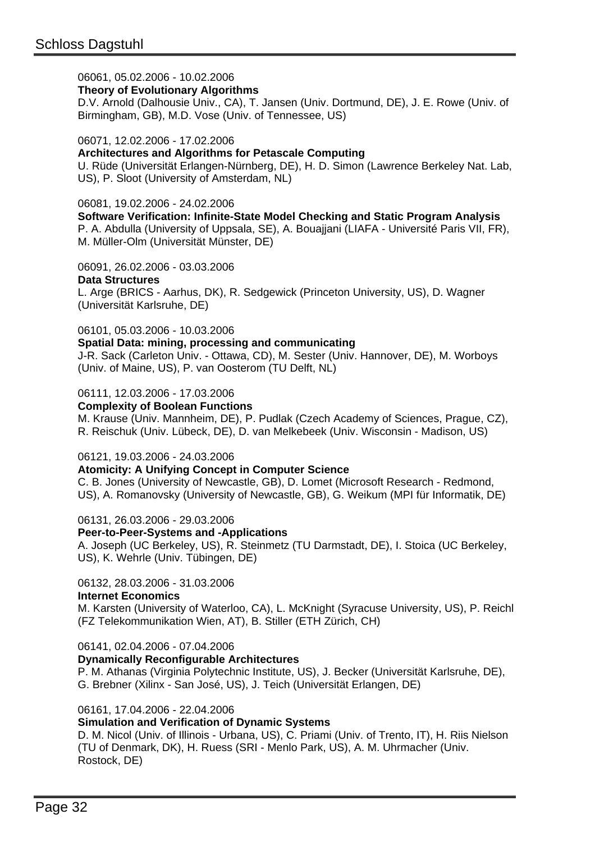#### 06061, 05.02.2006 - 10.02.2006

**Theory of Evolutionary Algorithms** 

D.V. Arnold (Dalhousie Univ., CA), T. Jansen (Univ. Dortmund, DE), J. E. Rowe (Univ. of Birmingham, GB), M.D. Vose (Univ. of Tennessee, US)

#### 06071, 12.02.2006 - 17.02.2006

**Architectures and Algorithms for Petascale Computing** 

U. Rüde (Universität Erlangen-Nürnberg, DE), H. D. Simon (Lawrence Berkeley Nat. Lab, US), P. Sloot (University of Amsterdam, NL)

#### 06081, 19.02.2006 - 24.02.2006

**Software Verification: Infinite-State Model Checking and Static Program Analysis**  P. A. Abdulla (University of Uppsala, SE), A. Bouajjani (LIAFA - Université Paris VII, FR), M. Müller-Olm (Universität Münster, DE)

06091, 26.02.2006 - 03.03.2006

**Data Structures** 

L. Arge (BRICS - Aarhus, DK), R. Sedgewick (Princeton University, US), D. Wagner (Universität Karlsruhe, DE)

#### 06101, 05.03.2006 - 10.03.2006

#### **Spatial Data: mining, processing and communicating**

J-R. Sack (Carleton Univ. - Ottawa, CD), M. Sester (Univ. Hannover, DE), M. Worboys (Univ. of Maine, US), P. van Oosterom (TU Delft, NL)

#### 06111, 12.03.2006 - 17.03.2006

**Complexity of Boolean Functions** 

M. Krause (Univ. Mannheim, DE), P. Pudlak (Czech Academy of Sciences, Prague, CZ), R. Reischuk (Univ. Lübeck, DE), D. van Melkebeek (Univ. Wisconsin - Madison, US)

06121, 19.03.2006 - 24.03.2006

#### **Atomicity: A Unifying Concept in Computer Science**

C. B. Jones (University of Newcastle, GB), D. Lomet (Microsoft Research - Redmond, US), A. Romanovsky (University of Newcastle, GB), G. Weikum (MPI für Informatik, DE)

06131, 26.03.2006 - 29.03.2006

#### **Peer-to-Peer-Systems and -Applications**

A. Joseph (UC Berkeley, US), R. Steinmetz (TU Darmstadt, DE), I. Stoica (UC Berkeley, US), K. Wehrle (Univ. Tübingen, DE)

06132, 28.03.2006 - 31.03.2006

#### **Internet Economics**

M. Karsten (University of Waterloo, CA), L. McKnight (Syracuse University, US), P. Reichl (FZ Telekommunikation Wien, AT), B. Stiller (ETH Zürich, CH)

06141, 02.04.2006 - 07.04.2006

#### **Dynamically Reconfigurable Architectures**

P. M. Athanas (Virginia Polytechnic Institute, US), J. Becker (Universität Karlsruhe, DE), G. Brebner (Xilinx - San José, US), J. Teich (Universität Erlangen, DE)

06161, 17.04.2006 - 22.04.2006

#### **Simulation and Verification of Dynamic Systems**

D. M. Nicol (Univ. of Illinois - Urbana, US), C. Priami (Univ. of Trento, IT), H. Riis Nielson (TU of Denmark, DK), H. Ruess (SRI - Menlo Park, US), A. M. Uhrmacher (Univ. Rostock, DE)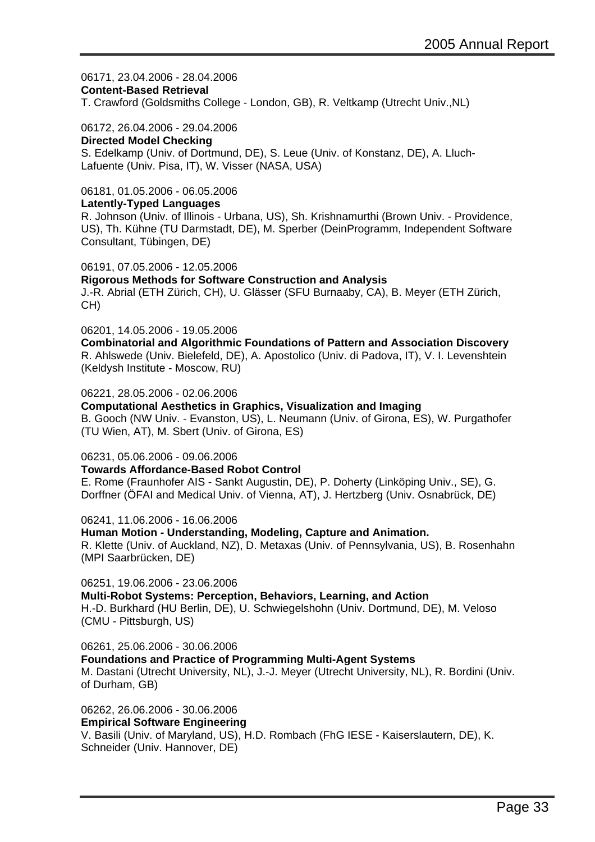06171, 23.04.2006 - 28.04.2006 **Content-Based Retrieval** 

T. Crawford (Goldsmiths College - London, GB), R. Veltkamp (Utrecht Univ.,NL)

06172, 26.04.2006 - 29.04.2006

**Directed Model Checking** 

S. Edelkamp (Univ. of Dortmund, DE), S. Leue (Univ. of Konstanz, DE), A. Lluch-Lafuente (Univ. Pisa, IT), W. Visser (NASA, USA)

06181, 01.05.2006 - 06.05.2006

**Latently-Typed Languages** 

R. Johnson (Univ. of Illinois - Urbana, US), Sh. Krishnamurthi (Brown Univ. - Providence, US), Th. Kühne (TU Darmstadt, DE), M. Sperber (DeinProgramm, Independent Software Consultant, Tübingen, DE)

06191, 07.05.2006 - 12.05.2006 **Rigorous Methods for Software Construction and Analysis**  J.-R. Abrial (ETH Zürich, CH), U. Glässer (SFU Burnaaby, CA), B. Meyer (ETH Zürich, CH)

06201, 14.05.2006 - 19.05.2006

**Combinatorial and Algorithmic Foundations of Pattern and Association Discovery**  R. Ahlswede (Univ. Bielefeld, DE), A. Apostolico (Univ. di Padova, IT), V. I. Levenshtein (Keldysh Institute - Moscow, RU)

06221, 28.05.2006 - 02.06.2006

**Computational Aesthetics in Graphics, Visualization and Imaging**  B. Gooch (NW Univ. - Evanston, US), L. Neumann (Univ. of Girona, ES), W. Purgathofer (TU Wien, AT), M. Sbert (Univ. of Girona, ES)

06231, 05.06.2006 - 09.06.2006

**Towards Affordance-Based Robot Control**  E. Rome (Fraunhofer AIS - Sankt Augustin, DE), P. Doherty (Linköping Univ., SE), G.

Dorffner (ÖFAI and Medical Univ. of Vienna, AT), J. Hertzberg (Univ. Osnabrück, DE)

06241, 11.06.2006 - 16.06.2006

**Human Motion - Understanding, Modeling, Capture and Animation.**  R. Klette (Univ. of Auckland, NZ), D. Metaxas (Univ. of Pennsylvania, US), B. Rosenhahn (MPI Saarbrücken, DE)

06251, 19.06.2006 - 23.06.2006 **Multi-Robot Systems: Perception, Behaviors, Learning, and Action**  H.-D. Burkhard (HU Berlin, DE), U. Schwiegelshohn (Univ. Dortmund, DE), M. Veloso (CMU - Pittsburgh, US)

06261, 25.06.2006 - 30.06.2006 **Foundations and Practice of Programming Multi-Agent Systems**  M. Dastani (Utrecht University, NL), J.-J. Meyer (Utrecht University, NL), R. Bordini (Univ. of Durham, GB)

06262, 26.06.2006 - 30.06.2006 **Empirical Software Engineering**  V. Basili (Univ. of Maryland, US), H.D. Rombach (FhG IESE - Kaiserslautern, DE), K. Schneider (Univ. Hannover, DE)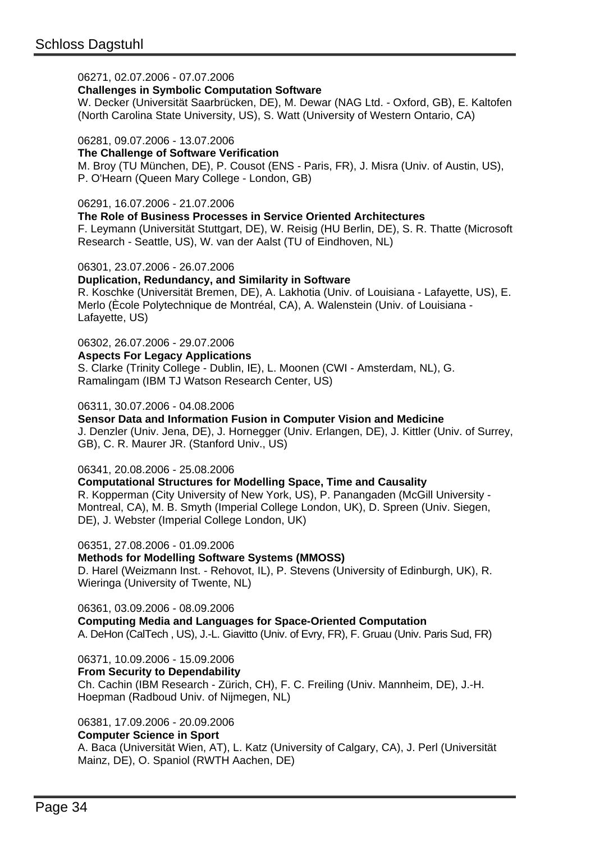#### 06271, 02.07.2006 - 07.07.2006

#### **Challenges in Symbolic Computation Software**

W. Decker (Universität Saarbrücken, DE), M. Dewar (NAG Ltd. - Oxford, GB), E. Kaltofen (North Carolina State University, US), S. Watt (University of Western Ontario, CA)

#### 06281, 09.07.2006 - 13.07.2006

**The Challenge of Software Verification** 

M. Broy (TU München, DE), P. Cousot (ENS - Paris, FR), J. Misra (Univ. of Austin, US), P. O'Hearn (Queen Mary College - London, GB)

#### 06291, 16.07.2006 - 21.07.2006

#### **The Role of Business Processes in Service Oriented Architectures**

F. Leymann (Universität Stuttgart, DE), W. Reisig (HU Berlin, DE), S. R. Thatte (Microsoft Research - Seattle, US), W. van der Aalst (TU of Eindhoven, NL)

#### 06301, 23.07.2006 - 26.07.2006

#### **Duplication, Redundancy, and Similarity in Software**

R. Koschke (Universität Bremen, DE), A. Lakhotia (Univ. of Louisiana - Lafayette, US), E. Merlo (Ècole Polytechnique de Montréal, CA), A. Walenstein (Univ. of Louisiana - Lafayette, US)

#### 06302, 26.07.2006 - 29.07.2006

**Aspects For Legacy Applications** 

S. Clarke (Trinity College - Dublin, IE), L. Moonen (CWI - Amsterdam, NL), G. Ramalingam (IBM TJ Watson Research Center, US)

#### 06311, 30.07.2006 - 04.08.2006

**Sensor Data and Information Fusion in Computer Vision and Medicine**  J. Denzler (Univ. Jena, DE), J. Hornegger (Univ. Erlangen, DE), J. Kittler (Univ. of Surrey, GB), C. R. Maurer JR. (Stanford Univ., US)

06341, 20.08.2006 - 25.08.2006

**Computational Structures for Modelling Space, Time and Causality** 

R. Kopperman (City University of New York, US), P. Panangaden (McGill University - Montreal, CA), M. B. Smyth (Imperial College London, UK), D. Spreen (Univ. Siegen, DE), J. Webster (Imperial College London, UK)

06351, 27.08.2006 - 01.09.2006 **Methods for Modelling Software Systems (MMOSS)** 

D. Harel (Weizmann Inst. - Rehovot, IL), P. Stevens (University of Edinburgh, UK), R. Wieringa (University of Twente, NL)

06361, 03.09.2006 - 08.09.2006 **Computing Media and Languages for Space-Oriented Computation**  A. DeHon (CalTech , US), J.-L. Giavitto (Univ. of Evry, FR), F. Gruau (Univ. Paris Sud, FR)

06371, 10.09.2006 - 15.09.2006

**From Security to Dependability** 

Ch. Cachin (IBM Research - Zürich, CH), F. C. Freiling (Univ. Mannheim, DE), J.-H. Hoepman (Radboud Univ. of Nijmegen, NL)

06381, 17.09.2006 - 20.09.2006

**Computer Science in Sport** 

A. Baca (Universität Wien, AT), L. Katz (University of Calgary, CA), J. Perl (Universität Mainz, DE), O. Spaniol (RWTH Aachen, DE)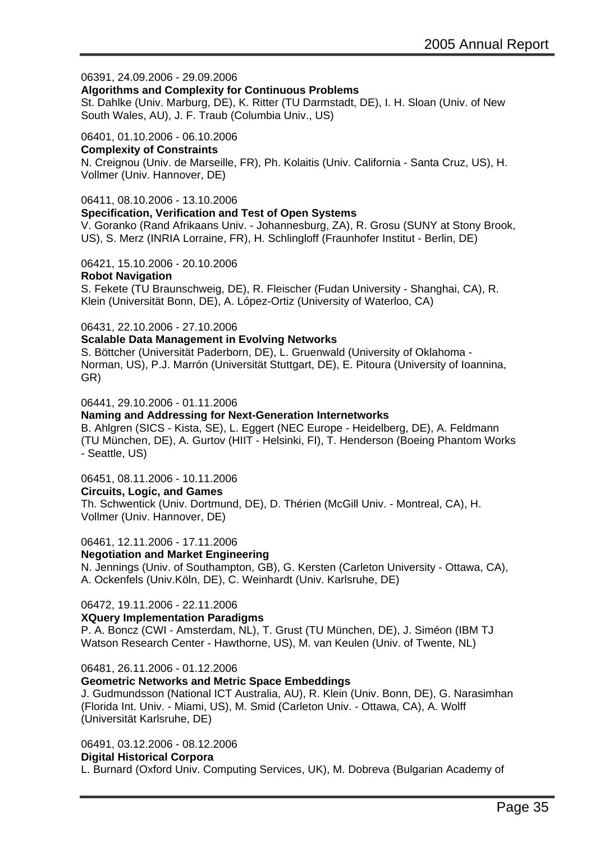#### 06391, 24.09.2006 - 29.09.2006

#### **Algorithms and Complexity for Continuous Problems**

St. Dahlke (Univ. Marburg, DE), K. Ritter (TU Darmstadt, DE), I. H. Sloan (Univ. of New South Wales, AU), J. F. Traub (Columbia Univ., US)

#### 06401, 01.10.2006 - 06.10.2006

#### **Complexity of Constraints**

N. Creignou (Univ. de Marseille, FR), Ph. Kolaitis (Univ. California - Santa Cruz, US), H. Vollmer (Univ. Hannover, DE)

#### 06411, 08.10.2006 - 13.10.2006

#### **Specification, Verification and Test of Open Systems**

V. Goranko (Rand Afrikaans Univ. - Johannesburg, ZA), R. Grosu (SUNY at Stony Brook, US), S. Merz (INRIA Lorraine, FR), H. Schlingloff (Fraunhofer Institut - Berlin, DE)

06421, 15.10.2006 - 20.10.2006

**Robot Navigation** 

S. Fekete (TU Braunschweig, DE), R. Fleischer (Fudan University - Shanghai, CA), R. Klein (Universität Bonn, DE), A. López-Ortiz (University of Waterloo, CA)

#### 06431, 22.10.2006 - 27.10.2006

#### **Scalable Data Management in Evolving Networks**

S. Böttcher (Universität Paderborn, DE), L. Gruenwald (University of Oklahoma - Norman, US), P.J. Marrón (Universität Stuttgart, DE), E. Pitoura (University of Ioannina, GR)

06441, 29.10.2006 - 01.11.2006

#### **Naming and Addressing for Next-Generation Internetworks**

B. Ahlgren (SICS - Kista, SE), L. Eggert (NEC Europe - Heidelberg, DE), A. Feldmann (TU München, DE), A. Gurtov (HIIT - Helsinki, FI), T. Henderson (Boeing Phantom Works - Seattle, US)

06451, 08.11.2006 - 10.11.2006

#### **Circuits, Logic, and Games**

Th. Schwentick (Univ. Dortmund, DE), D. Thérien (McGill Univ. - Montreal, CA), H. Vollmer (Univ. Hannover, DE)

06461, 12.11.2006 - 17.11.2006

#### **Negotiation and Market Engineering**

N. Jennings (Univ. of Southampton, GB), G. Kersten (Carleton University - Ottawa, CA), A. Ockenfels (Univ.Köln, DE), C. Weinhardt (Univ. Karlsruhe, DE)

#### 06472, 19.11.2006 - 22.11.2006

#### **XQuery Implementation Paradigms**

P. A. Boncz (CWI - Amsterdam, NL), T. Grust (TU München, DE), J. Siméon (IBM TJ Watson Research Center - Hawthorne, US), M. van Keulen (Univ. of Twente, NL)

06481, 26.11.2006 - 01.12.2006 **Geometric Networks and Metric Space Embeddings**  J. Gudmundsson (National ICT Australia, AU), R. Klein (Univ. Bonn, DE), G. Narasimhan (Florida Int. Univ. - Miami, US), M. Smid (Carleton Univ. - Ottawa, CA), A. Wolff (Universität Karlsruhe, DE)

06491, 03.12.2006 - 08.12.2006

#### **Digital Historical Corpora**

L. Burnard (Oxford Univ. Computing Services, UK), M. Dobreva (Bulgarian Academy of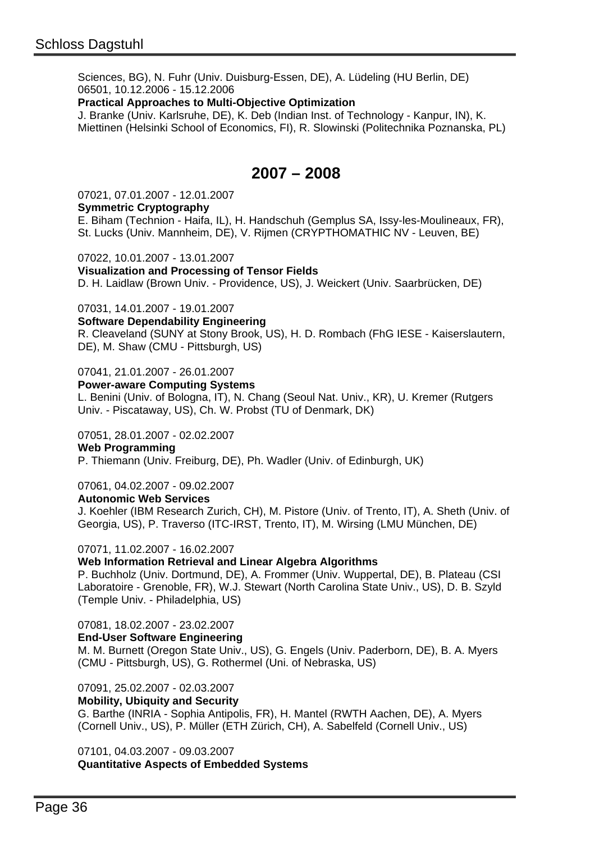Sciences, BG), N. Fuhr (Univ. Duisburg-Essen, DE), A. Lüdeling (HU Berlin, DE) 06501, 10.12.2006 - 15.12.2006

#### **Practical Approaches to Multi-Objective Optimization**

J. Branke (Univ. Karlsruhe, DE), K. Deb (Indian Inst. of Technology - Kanpur, IN), K. Miettinen (Helsinki School of Economics, FI), R. Slowinski (Politechnika Poznanska, PL)

### **2007 – 2008**

07021, 07.01.2007 - 12.01.2007

#### **Symmetric Cryptography**

E. Biham (Technion - Haifa, IL), H. Handschuh (Gemplus SA, Issy-les-Moulineaux, FR), St. Lucks (Univ. Mannheim, DE), V. Rijmen (CRYPTHOMATHIC NV - Leuven, BE)

07022, 10.01.2007 - 13.01.2007

**Visualization and Processing of Tensor Fields**  D. H. Laidlaw (Brown Univ. - Providence, US), J. Weickert (Univ. Saarbrücken, DE)

07031, 14.01.2007 - 19.01.2007

**Software Dependability Engineering** 

R. Cleaveland (SUNY at Stony Brook, US), H. D. Rombach (FhG IESE - Kaiserslautern, DE), M. Shaw (CMU - Pittsburgh, US)

07041, 21.01.2007 - 26.01.2007

**Power-aware Computing Systems** 

L. Benini (Univ. of Bologna, IT), N. Chang (Seoul Nat. Univ., KR), U. Kremer (Rutgers Univ. - Piscataway, US), Ch. W. Probst (TU of Denmark, DK)

07051, 28.01.2007 - 02.02.2007 **Web Programming**  P. Thiemann (Univ. Freiburg, DE), Ph. Wadler (Univ. of Edinburgh, UK)

07061, 04.02.2007 - 09.02.2007

**Autonomic Web Services** 

J. Koehler (IBM Research Zurich, CH), M. Pistore (Univ. of Trento, IT), A. Sheth (Univ. of Georgia, US), P. Traverso (ITC-IRST, Trento, IT), M. Wirsing (LMU München, DE)

07071, 11.02.2007 - 16.02.2007

#### **Web Information Retrieval and Linear Algebra Algorithms**

P. Buchholz (Univ. Dortmund, DE), A. Frommer (Univ. Wuppertal, DE), B. Plateau (CSI Laboratoire - Grenoble, FR), W.J. Stewart (North Carolina State Univ., US), D. B. Szyld (Temple Univ. - Philadelphia, US)

07081, 18.02.2007 - 23.02.2007

**End-User Software Engineering** 

M. M. Burnett (Oregon State Univ., US), G. Engels (Univ. Paderborn, DE), B. A. Myers (CMU - Pittsburgh, US), G. Rothermel (Uni. of Nebraska, US)

07091, 25.02.2007 - 02.03.2007

**Mobility, Ubiquity and Security** 

G. Barthe (INRIA - Sophia Antipolis, FR), H. Mantel (RWTH Aachen, DE), A. Myers (Cornell Univ., US), P. Müller (ETH Zürich, CH), A. Sabelfeld (Cornell Univ., US)

07101, 04.03.2007 - 09.03.2007 **Quantitative Aspects of Embedded Systems**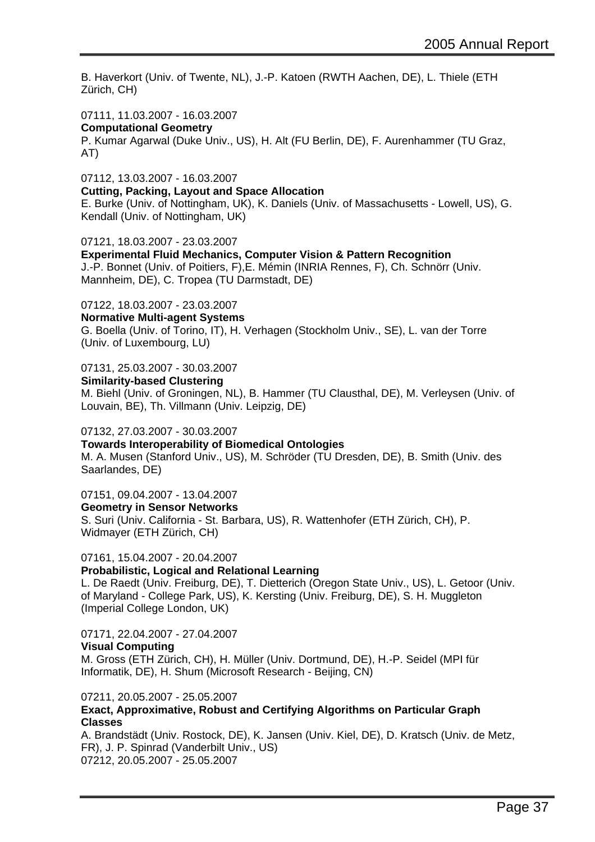B. Haverkort (Univ. of Twente, NL), J.-P. Katoen (RWTH Aachen, DE), L. Thiele (ETH Zürich, CH)

07111, 11.03.2007 - 16.03.2007

#### **Computational Geometry**

P. Kumar Agarwal (Duke Univ., US), H. Alt (FU Berlin, DE), F. Aurenhammer (TU Graz, AT)

07112, 13.03.2007 - 16.03.2007

#### **Cutting, Packing, Layout and Space Allocation**

E. Burke (Univ. of Nottingham, UK), K. Daniels (Univ. of Massachusetts - Lowell, US), G. Kendall (Univ. of Nottingham, UK)

07121, 18.03.2007 - 23.03.2007

**Experimental Fluid Mechanics, Computer Vision & Pattern Recognition**  J.-P. Bonnet (Univ. of Poitiers, F),E. Mémin (INRIA Rennes, F), Ch. Schnörr (Univ. Mannheim, DE), C. Tropea (TU Darmstadt, DE)

#### 07122, 18.03.2007 - 23.03.2007

**Normative Multi-agent Systems** 

G. Boella (Univ. of Torino, IT), H. Verhagen (Stockholm Univ., SE), L. van der Torre (Univ. of Luxembourg, LU)

07131, 25.03.2007 - 30.03.2007

**Similarity-based Clustering** 

M. Biehl (Univ. of Groningen, NL), B. Hammer (TU Clausthal, DE), M. Verleysen (Univ. of Louvain, BE), Th. Villmann (Univ. Leipzig, DE)

#### 07132, 27.03.2007 - 30.03.2007

**Towards Interoperability of Biomedical Ontologies**  M. A. Musen (Stanford Univ., US), M. Schröder (TU Dresden, DE), B. Smith (Univ. des Saarlandes, DE)

07151, 09.04.2007 - 13.04.2007

**Geometry in Sensor Networks** 

S. Suri (Univ. California - St. Barbara, US), R. Wattenhofer (ETH Zürich, CH), P. Widmayer (ETH Zürich, CH)

07161, 15.04.2007 - 20.04.2007 **Probabilistic, Logical and Relational Learning** 

L. De Raedt (Univ. Freiburg, DE), T. Dietterich (Oregon State Univ., US), L. Getoor (Univ. of Maryland - College Park, US), K. Kersting (Univ. Freiburg, DE), S. H. Muggleton (Imperial College London, UK)

07171, 22.04.2007 - 27.04.2007

#### **Visual Computing**

M. Gross (ETH Zürich, CH), H. Müller (Univ. Dortmund, DE), H.-P. Seidel (MPI für Informatik, DE), H. Shum (Microsoft Research - Beijing, CN)

07211, 20.05.2007 - 25.05.2007

**Exact, Approximative, Robust and Certifying Algorithms on Particular Graph Classes** 

A. Brandstädt (Univ. Rostock, DE), K. Jansen (Univ. Kiel, DE), D. Kratsch (Univ. de Metz, FR), J. P. Spinrad (Vanderbilt Univ., US) 07212, 20.05.2007 - 25.05.2007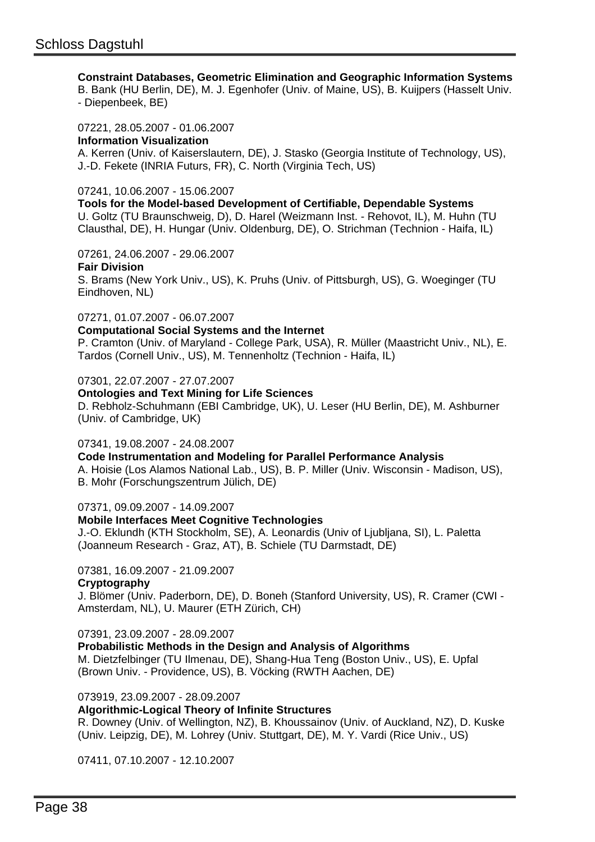**Constraint Databases, Geometric Elimination and Geographic Information Systems** 

B. Bank (HU Berlin, DE), M. J. Egenhofer (Univ. of Maine, US), B. Kuijpers (Hasselt Univ. - Diepenbeek, BE)

07221, 28.05.2007 - 01.06.2007

**Information Visualization** 

A. Kerren (Univ. of Kaiserslautern, DE), J. Stasko (Georgia Institute of Technology, US), J.-D. Fekete (INRIA Futurs, FR), C. North (Virginia Tech, US)

#### 07241, 10.06.2007 - 15.06.2007

**Tools for the Model-based Development of Certifiable, Dependable Systems**  U. Goltz (TU Braunschweig, D), D. Harel (Weizmann Inst. - Rehovot, IL), M. Huhn (TU Clausthal, DE), H. Hungar (Univ. Oldenburg, DE), O. Strichman (Technion - Haifa, IL)

07261, 24.06.2007 - 29.06.2007

#### **Fair Division**

S. Brams (New York Univ., US), K. Pruhs (Univ. of Pittsburgh, US), G. Woeginger (TU Eindhoven, NL)

07271, 01.07.2007 - 06.07.2007

#### **Computational Social Systems and the Internet**

P. Cramton (Univ. of Maryland - College Park, USA), R. Müller (Maastricht Univ., NL), E. Tardos (Cornell Univ., US), M. Tennenholtz (Technion - Haifa, IL)

07301, 22.07.2007 - 27.07.2007

#### **Ontologies and Text Mining for Life Sciences**

D. Rebholz-Schuhmann (EBI Cambridge, UK), U. Leser (HU Berlin, DE), M. Ashburner (Univ. of Cambridge, UK)

#### 07341, 19.08.2007 - 24.08.2007

**Code Instrumentation and Modeling for Parallel Performance Analysis** 

A. Hoisie (Los Alamos National Lab., US), B. P. Miller (Univ. Wisconsin - Madison, US), B. Mohr (Forschungszentrum Jülich, DE)

07371, 09.09.2007 - 14.09.2007

#### **Mobile Interfaces Meet Cognitive Technologies**

J.-O. Eklundh (KTH Stockholm, SE), A. Leonardis (Univ of Ljubljana, SI), L. Paletta (Joanneum Research - Graz, AT), B. Schiele (TU Darmstadt, DE)

07381, 16.09.2007 - 21.09.2007

#### **Cryptography**

J. Blömer (Univ. Paderborn, DE), D. Boneh (Stanford University, US), R. Cramer (CWI - Amsterdam, NL), U. Maurer (ETH Zürich, CH)

07391, 23.09.2007 - 28.09.2007

**Probabilistic Methods in the Design and Analysis of Algorithms** 

M. Dietzfelbinger (TU Ilmenau, DE), Shang-Hua Teng (Boston Univ., US), E. Upfal (Brown Univ. - Providence, US), B. Vöcking (RWTH Aachen, DE)

073919, 23.09.2007 - 28.09.2007

#### **Algorithmic-Logical Theory of Infinite Structures**

R. Downey (Univ. of Wellington, NZ), B. Khoussainov (Univ. of Auckland, NZ), D. Kuske (Univ. Leipzig, DE), M. Lohrey (Univ. Stuttgart, DE), M. Y. Vardi (Rice Univ., US)

07411, 07.10.2007 - 12.10.2007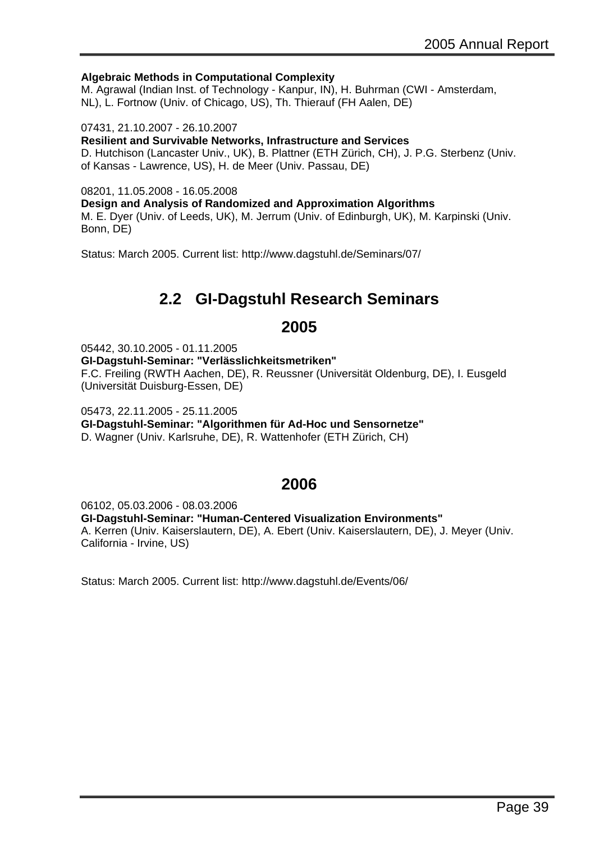#### **Algebraic Methods in Computational Complexity**

M. Agrawal (Indian Inst. of Technology - Kanpur, IN), H. Buhrman (CWI - Amsterdam, NL), L. Fortnow (Univ. of Chicago, US), Th. Thierauf (FH Aalen, DE)

07431, 21.10.2007 - 26.10.2007

**Resilient and Survivable Networks, Infrastructure and Services** 

D. Hutchison (Lancaster Univ., UK), B. Plattner (ETH Zürich, CH), J. P.G. Sterbenz (Univ. of Kansas - Lawrence, US), H. de Meer (Univ. Passau, DE)

08201, 11.05.2008 - 16.05.2008

**Design and Analysis of Randomized and Approximation Algorithms**  M. E. Dyer (Univ. of Leeds, UK), M. Jerrum (Univ. of Edinburgh, UK), M. Karpinski (Univ. Bonn, DE)

Status: March 2005. Current list: http://www.dagstuhl.de/Seminars/07/

### **2.2 GI-Dagstuhl Research Seminars**

### **2005**

05442, 30.10.2005 - 01.11.2005 **GI-Dagstuhl-Seminar: "Verlässlichkeitsmetriken"**  F.C. Freiling (RWTH Aachen, DE), R. Reussner (Universität Oldenburg, DE), I. Eusgeld (Universität Duisburg-Essen, DE)

05473, 22.11.2005 - 25.11.2005 **GI-Dagstuhl-Seminar: "Algorithmen für Ad-Hoc und Sensornetze"**  D. Wagner (Univ. Karlsruhe, DE), R. Wattenhofer (ETH Zürich, CH)

### **2006**

06102, 05.03.2006 - 08.03.2006 **GI-Dagstuhl-Seminar: "Human-Centered Visualization Environments"**  A. Kerren (Univ. Kaiserslautern, DE), A. Ebert (Univ. Kaiserslautern, DE), J. Meyer (Univ. California - Irvine, US)

Status: March 2005. Current list: http://www.dagstuhl.de/Events/06/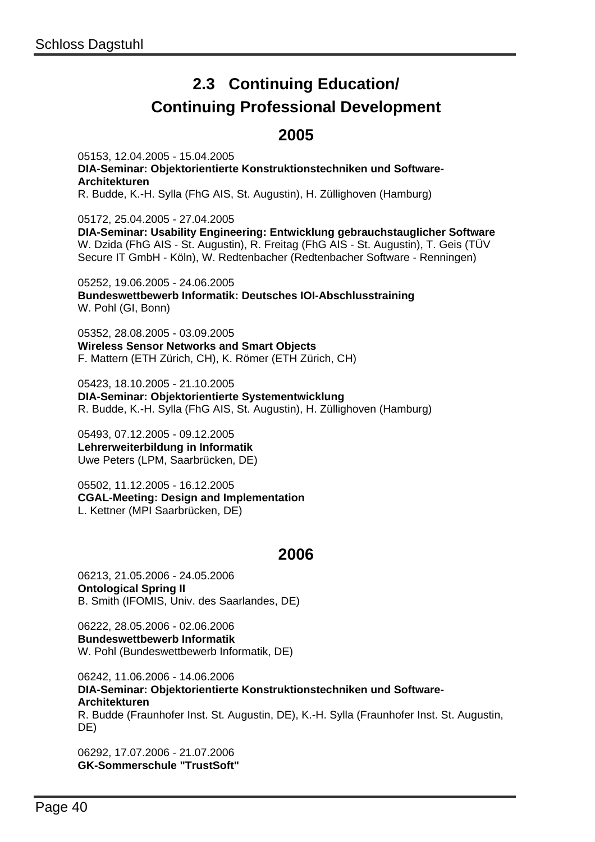# **2.3 Continuing Education/ Continuing Professional Development**

### **2005**

05153, 12.04.2005 - 15.04.2005 **DIA-Seminar: Objektorientierte Konstruktionstechniken und Software-Architekturen**  R. Budde, K.-H. Sylla (FhG AIS, St. Augustin), H. Züllighoven (Hamburg)

05172, 25.04.2005 - 27.04.2005 **DIA-Seminar: Usability Engineering: Entwicklung gebrauchstauglicher Software**  W. Dzida (FhG AIS - St. Augustin), R. Freitag (FhG AIS - St. Augustin), T. Geis (TÜV Secure IT GmbH - Köln), W. Redtenbacher (Redtenbacher Software - Renningen)

05252, 19.06.2005 - 24.06.2005 **Bundeswettbewerb Informatik: Deutsches IOI-Abschlusstraining**  W. Pohl (GI, Bonn)

05352, 28.08.2005 - 03.09.2005 **Wireless Sensor Networks and Smart Objects**  F. Mattern (ETH Zürich, CH), K. Römer (ETH Zürich, CH)

05423, 18.10.2005 - 21.10.2005 **DIA-Seminar: Objektorientierte Systementwicklung**  R. Budde, K.-H. Sylla (FhG AIS, St. Augustin), H. Züllighoven (Hamburg)

05493, 07.12.2005 - 09.12.2005 **Lehrerweiterbildung in Informatik**  Uwe Peters (LPM, Saarbrücken, DE)

05502, 11.12.2005 - 16.12.2005 **CGAL-Meeting: Design and Implementation**  L. Kettner (MPI Saarbrücken, DE)

### **2006**

06213, 21.05.2006 - 24.05.2006 **Ontological Spring II**  B. Smith (IFOMIS, Univ. des Saarlandes, DE)

06222, 28.05.2006 - 02.06.2006 **Bundeswettbewerb Informatik**  W. Pohl (Bundeswettbewerb Informatik, DE)

06242, 11.06.2006 - 14.06.2006 **DIA-Seminar: Objektorientierte Konstruktionstechniken und Software-Architekturen**  R. Budde (Fraunhofer Inst. St. Augustin, DE), K.-H. Sylla (Fraunhofer Inst. St. Augustin, DE)

06292, 17.07.2006 - 21.07.2006 **GK-Sommerschule "TrustSoft"**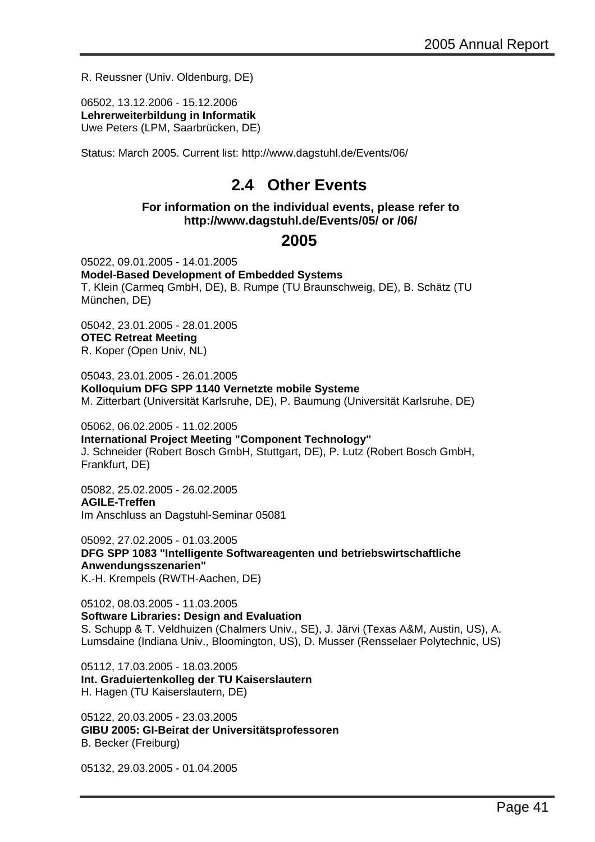R. Reussner (Univ. Oldenburg, DE)

06502, 13.12.2006 - 15.12.2006 **Lehrerweiterbildung in Informatik**  Uwe Peters (LPM, Saarbrücken, DE)

Status: March 2005. Current list: http://www.dagstuhl.de/Events/06/

### **2.4 Other Events**

#### **For information on the individual events, please refer to http://www.dagstuhl.de/Events/05/ or /06/**

### **2005**

05022, 09.01.2005 - 14.01.2005 **Model-Based Development of Embedded Systems**  T. Klein (Carmeq GmbH, DE), B. Rumpe (TU Braunschweig, DE), B. Schätz (TU München, DE)

05042, 23.01.2005 - 28.01.2005 **OTEC Retreat Meeting**  R. Koper (Open Univ, NL)

05043, 23.01.2005 - 26.01.2005 **Kolloquium DFG SPP 1140 Vernetzte mobile Systeme**  M. Zitterbart (Universität Karlsruhe, DE), P. Baumung (Universität Karlsruhe, DE)

05062, 06.02.2005 - 11.02.2005 **International Project Meeting "Component Technology"**  J. Schneider (Robert Bosch GmbH, Stuttgart, DE), P. Lutz (Robert Bosch GmbH, Frankfurt, DE)

05082, 25.02.2005 - 26.02.2005 **AGILE-Treffen**  Im Anschluss an Dagstuhl-Seminar 05081

05092, 27.02.2005 - 01.03.2005 **DFG SPP 1083 "Intelligente Softwareagenten und betriebswirtschaftliche Anwendungsszenarien"**  K.-H. Krempels (RWTH-Aachen, DE)

05102, 08.03.2005 - 11.03.2005 **Software Libraries: Design and Evaluation**  S. Schupp & T. Veldhuizen (Chalmers Univ., SE), J. Järvi (Texas A&M, Austin, US), A. Lumsdaine (Indiana Univ., Bloomington, US), D. Musser (Rensselaer Polytechnic, US)

05112, 17.03.2005 - 18.03.2005 **Int. Graduiertenkolleg der TU Kaiserslautern**  H. Hagen (TU Kaiserslautern, DE)

05122, 20.03.2005 - 23.03.2005 **GIBU 2005: GI-Beirat der Universitätsprofessoren**  B. Becker (Freiburg)

05132, 29.03.2005 - 01.04.2005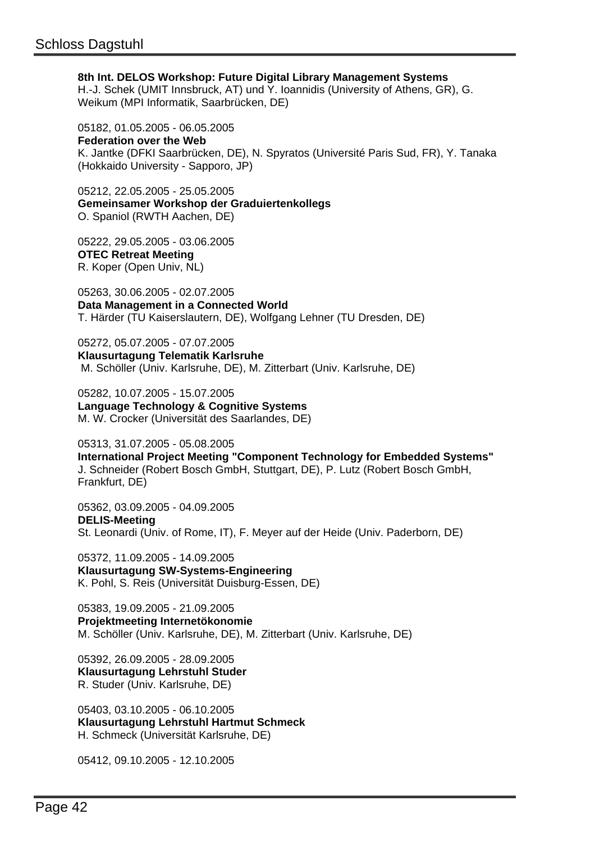**8th Int. DELOS Workshop: Future Digital Library Management Systems**  H.-J. Schek (UMIT Innsbruck, AT) und Y. Ioannidis (University of Athens, GR), G. Weikum (MPI Informatik, Saarbrücken, DE)

05182, 01.05.2005 - 06.05.2005 **Federation over the Web**  K. Jantke (DFKI Saarbrücken, DE), N. Spyratos (Université Paris Sud, FR), Y. Tanaka (Hokkaido University - Sapporo, JP)

05212, 22.05.2005 - 25.05.2005 **Gemeinsamer Workshop der Graduiertenkollegs**  O. Spaniol (RWTH Aachen, DE)

05222, 29.05.2005 - 03.06.2005 **OTEC Retreat Meeting**  R. Koper (Open Univ, NL)

05263, 30.06.2005 - 02.07.2005 **Data Management in a Connected World**  T. Härder (TU Kaiserslautern, DE), Wolfgang Lehner (TU Dresden, DE)

05272, 05.07.2005 - 07.07.2005 **Klausurtagung Telematik Karlsruhe**  M. Schöller (Univ. Karlsruhe, DE), M. Zitterbart (Univ. Karlsruhe, DE)

05282, 10.07.2005 - 15.07.2005 **Language Technology & Cognitive Systems**  M. W. Crocker (Universität des Saarlandes, DE)

05313, 31.07.2005 - 05.08.2005 **International Project Meeting "Component Technology for Embedded Systems"**  J. Schneider (Robert Bosch GmbH, Stuttgart, DE), P. Lutz (Robert Bosch GmbH, Frankfurt, DE)

05362, 03.09.2005 - 04.09.2005 **DELIS-Meeting**  St. Leonardi (Univ. of Rome, IT), F. Meyer auf der Heide (Univ. Paderborn, DE)

05372, 11.09.2005 - 14.09.2005 **Klausurtagung SW-Systems-Engineering**  K. Pohl, S. Reis (Universität Duisburg-Essen, DE)

05383, 19.09.2005 - 21.09.2005 **Projektmeeting Internetökonomie**  M. Schöller (Univ. Karlsruhe, DE), M. Zitterbart (Univ. Karlsruhe, DE)

05392, 26.09.2005 - 28.09.2005 **Klausurtagung Lehrstuhl Studer**  R. Studer (Univ. Karlsruhe, DE)

05403, 03.10.2005 - 06.10.2005 **Klausurtagung Lehrstuhl Hartmut Schmeck**  H. Schmeck (Universität Karlsruhe, DE)

05412, 09.10.2005 - 12.10.2005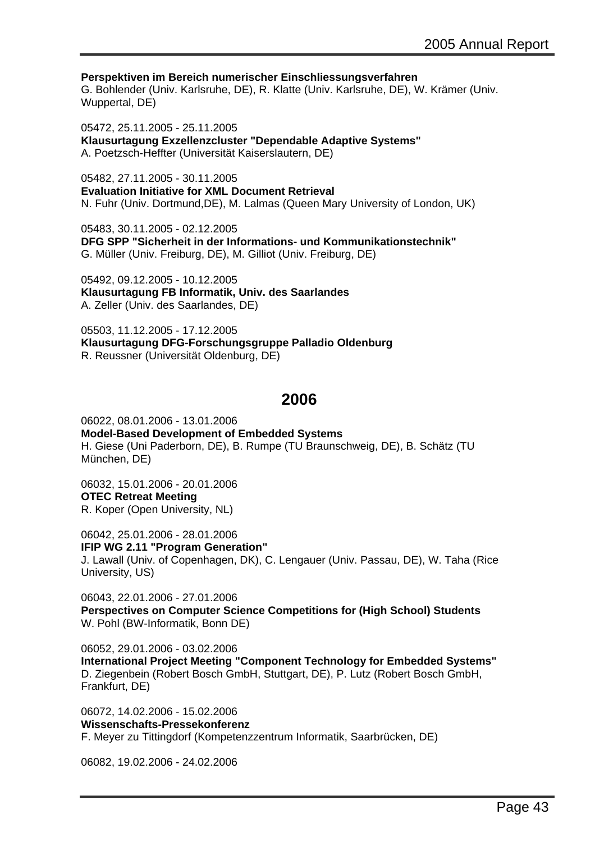**Perspektiven im Bereich numerischer Einschliessungsverfahren**  G. Bohlender (Univ. Karlsruhe, DE), R. Klatte (Univ. Karlsruhe, DE), W. Krämer (Univ. Wuppertal, DE)

05472, 25.11.2005 - 25.11.2005 **Klausurtagung Exzellenzcluster "Dependable Adaptive Systems"**  A. Poetzsch-Heffter (Universität Kaiserslautern, DE)

05482, 27.11.2005 - 30.11.2005 **Evaluation Initiative for XML Document Retrieval**  N. Fuhr (Univ. Dortmund,DE), M. Lalmas (Queen Mary University of London, UK)

05483, 30.11.2005 - 02.12.2005 **DFG SPP "Sicherheit in der Informations- und Kommunikationstechnik"**  G. Müller (Univ. Freiburg, DE), M. Gilliot (Univ. Freiburg, DE)

05492, 09.12.2005 - 10.12.2005 **Klausurtagung FB Informatik, Univ. des Saarlandes**  A. Zeller (Univ. des Saarlandes, DE)

05503, 11.12.2005 - 17.12.2005 **Klausurtagung DFG-Forschungsgruppe Palladio Oldenburg**  R. Reussner (Universität Oldenburg, DE)

### **2006**

06022, 08.01.2006 - 13.01.2006 **Model-Based Development of Embedded Systems**  H. Giese (Uni Paderborn, DE), B. Rumpe (TU Braunschweig, DE), B. Schätz (TU München, DE)

06032, 15.01.2006 - 20.01.2006 **OTEC Retreat Meeting**  R. Koper (Open University, NL)

06042, 25.01.2006 - 28.01.2006 **IFIP WG 2.11 "Program Generation"**  J. Lawall (Univ. of Copenhagen, DK), C. Lengauer (Univ. Passau, DE), W. Taha (Rice University, US)

06043, 22.01.2006 - 27.01.2006 **Perspectives on Computer Science Competitions for (High School) Students**  W. Pohl (BW-Informatik, Bonn DE)

06052, 29.01.2006 - 03.02.2006 **International Project Meeting "Component Technology for Embedded Systems"**  D. Ziegenbein (Robert Bosch GmbH, Stuttgart, DE), P. Lutz (Robert Bosch GmbH, Frankfurt, DE)

06072, 14.02.2006 - 15.02.2006 **Wissenschafts-Pressekonferenz**  F. Meyer zu Tittingdorf (Kompetenzzentrum Informatik, Saarbrücken, DE)

06082, 19.02.2006 - 24.02.2006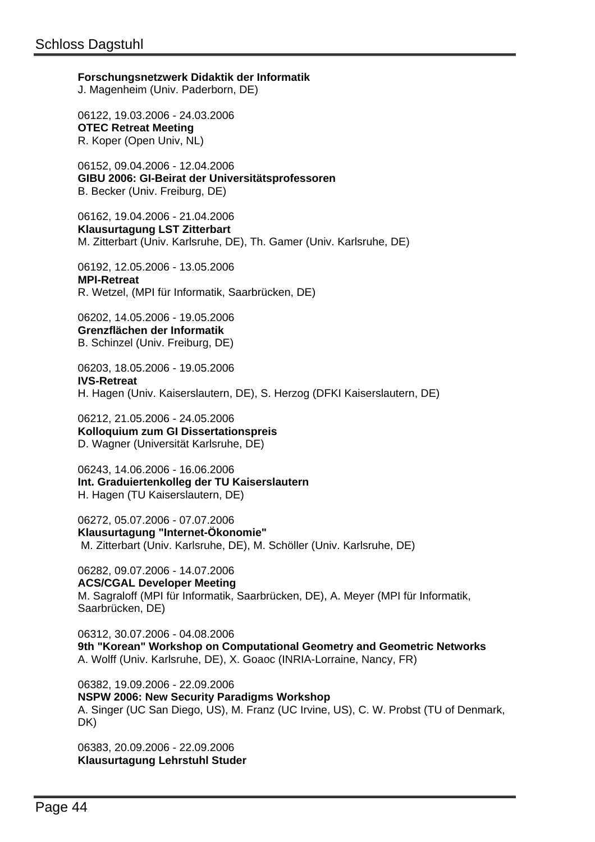**Forschungsnetzwerk Didaktik der Informatik** 

J. Magenheim (Univ. Paderborn, DE)

06122, 19.03.2006 - 24.03.2006 **OTEC Retreat Meeting**  R. Koper (Open Univ, NL)

06152, 09.04.2006 - 12.04.2006 **GIBU 2006: GI-Beirat der Universitätsprofessoren**  B. Becker (Univ. Freiburg, DE)

06162, 19.04.2006 - 21.04.2006 **Klausurtagung LST Zitterbart**  M. Zitterbart (Univ. Karlsruhe, DE), Th. Gamer (Univ. Karlsruhe, DE)

06192, 12.05.2006 - 13.05.2006 **MPI-Retreat**  R. Wetzel, (MPI für Informatik, Saarbrücken, DE)

06202, 14.05.2006 - 19.05.2006 **Grenzflächen der Informatik**  B. Schinzel (Univ. Freiburg, DE)

06203, 18.05.2006 - 19.05.2006 **IVS-Retreat**  H. Hagen (Univ. Kaiserslautern, DE), S. Herzog (DFKI Kaiserslautern, DE)

06212, 21.05.2006 - 24.05.2006 **Kolloquium zum GI Dissertationspreis**  D. Wagner (Universität Karlsruhe, DE)

06243, 14.06.2006 - 16.06.2006 **Int. Graduiertenkolleg der TU Kaiserslautern**  H. Hagen (TU Kaiserslautern, DE)

06272, 05.07.2006 - 07.07.2006 **Klausurtagung "Internet-Ökonomie"**  M. Zitterbart (Univ. Karlsruhe, DE), M. Schöller (Univ. Karlsruhe, DE)

06282, 09.07.2006 - 14.07.2006 **ACS/CGAL Developer Meeting**  M. Sagraloff (MPI für Informatik, Saarbrücken, DE), A. Meyer (MPI für Informatik, Saarbrücken, DE)

06312, 30.07.2006 - 04.08.2006 **9th "Korean" Workshop on Computational Geometry and Geometric Networks**  A. Wolff (Univ. Karlsruhe, DE), X. Goaoc (INRIA-Lorraine, Nancy, FR)

06382, 19.09.2006 - 22.09.2006 **NSPW 2006: New Security Paradigms Workshop**  A. Singer (UC San Diego, US), M. Franz (UC Irvine, US), C. W. Probst (TU of Denmark, DK)

06383, 20.09.2006 - 22.09.2006 **Klausurtagung Lehrstuhl Studer**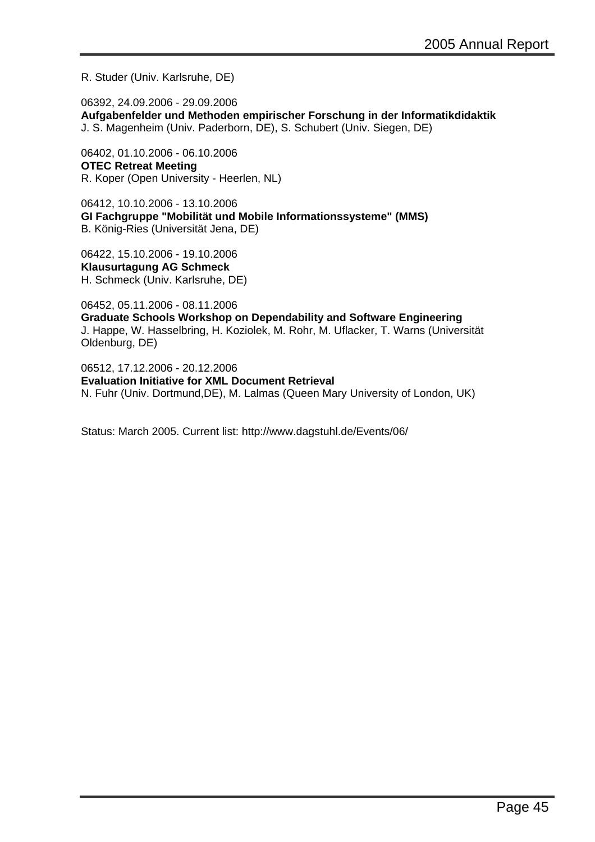R. Studer (Univ. Karlsruhe, DE)

06392, 24.09.2006 - 29.09.2006 **Aufgabenfelder und Methoden empirischer Forschung in der Informatikdidaktik**  J. S. Magenheim (Univ. Paderborn, DE), S. Schubert (Univ. Siegen, DE)

06402, 01.10.2006 - 06.10.2006 **OTEC Retreat Meeting**  R. Koper (Open University - Heerlen, NL)

06412, 10.10.2006 - 13.10.2006 **GI Fachgruppe "Mobilität und Mobile Informationssysteme" (MMS)**  B. König-Ries (Universität Jena, DE)

06422, 15.10.2006 - 19.10.2006 **Klausurtagung AG Schmeck**  H. Schmeck (Univ. Karlsruhe, DE)

06452, 05.11.2006 - 08.11.2006 **Graduate Schools Workshop on Dependability and Software Engineering**  J. Happe, W. Hasselbring, H. Koziolek, M. Rohr, M. Uflacker, T. Warns (Universität Oldenburg, DE)

06512, 17.12.2006 - 20.12.2006 **Evaluation Initiative for XML Document Retrieval**  N. Fuhr (Univ. Dortmund,DE), M. Lalmas (Queen Mary University of London, UK)

Status: March 2005. Current list: http://www.dagstuhl.de/Events/06/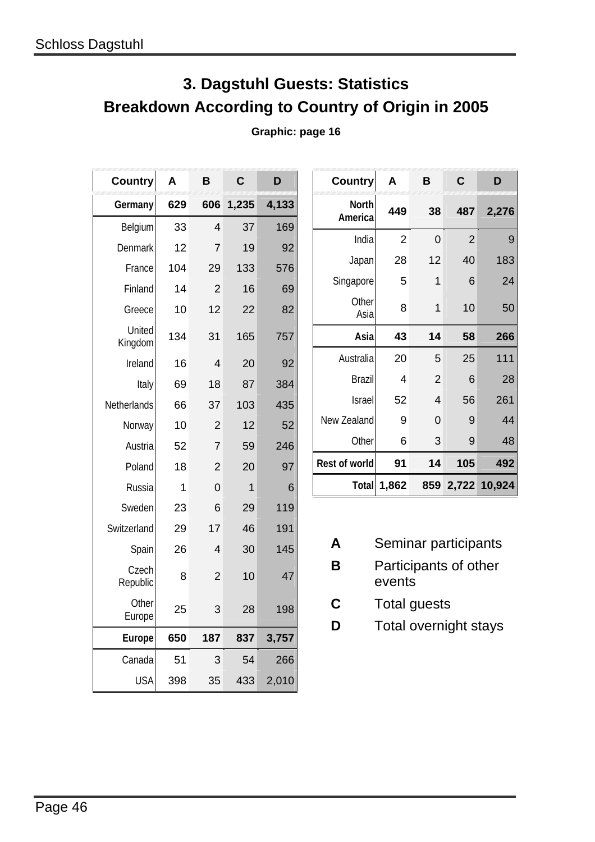# **3. Dagstuhl Guests: Statistics Breakdown According to Country of Origin in 2005**

**Graphic: page 16** 

| <b>Country</b>    | A   | В              | C     | D     |
|-------------------|-----|----------------|-------|-------|
| Germany           | 629 | 606            | 1,235 | 4,133 |
| Belgium           | 33  | $\overline{4}$ | 37    | 169   |
| Denmark           | 12  | $\overline{7}$ | 19    | 92    |
| France            | 104 | 29             | 133   | 576   |
| Finland           | 14  | $\overline{2}$ | 16    | 69    |
| Greece            | 10  | 12             | 22    | 82    |
| United<br>Kingdom | 134 | 31             | 165   | 757   |
| Ireland           | 16  | 4              | 20    | 92    |
| Italy             | 69  | 18             | 87    | 384   |
| Netherlands       | 66  | 37             | 103   | 435   |
| Norway            | 10  | $\overline{2}$ | 12    | 52    |
| Austria           | 52  | $\overline{7}$ | 59    | 246   |
| Poland            | 18  | $\overline{2}$ | 20    | 97    |
| Russia            | 1   | $\overline{0}$ | 1     | 6     |
| Sweden            | 23  | 6              | 29    | 119   |
| Switzerland       | 29  | 17             | 46    | 191   |
| Spain             | 26  | 4              | 30    | 145   |
| Czech<br>Republic | 8   | $\overline{2}$ | 10    | 47    |
| Other<br>Europe   | 25  | 3              | 28    | 198   |
| Europe            | 650 | 187            | 837   | 3,757 |
| Canada            | 51  | 3              | 54    | 266   |
| <b>USA</b>        | 398 | 35             | 433   | 2,010 |

| <b>Country</b>          | A              | в  | C              | D                |
|-------------------------|----------------|----|----------------|------------------|
| <b>North</b><br>America | 449            | 38 | 487            | 2,276            |
| India                   | $\overline{2}$ | 0  | $\overline{2}$ | 9                |
| Japan                   | 28             | 12 | 40             | 183              |
| Singapore               | 5              | 1  | 6              | 24               |
| Other<br>Asia           | 8              | 1  | 10             | 50               |
| Asia                    | 43             | 14 | 58             | 266              |
| Australia               | 20             | 5  | 25             | 111              |
| <b>Brazil</b>           | 4              | 2  | 6              | 28               |
| Israel                  | 52             | 4  | 56             | 261              |
| New Zealand             | 9              | 0  | 9              | 44               |
| Other                   | 6              | 3  | 9              | 48               |
| Rest of world           | 91             | 14 | 105            | 492              |
| Total                   | 1,862          |    |                | 859 2,722 10,924 |

- **A** Seminar participants
- **B** Participants of other events
- **C** Total guests
- **D** Total overnight stays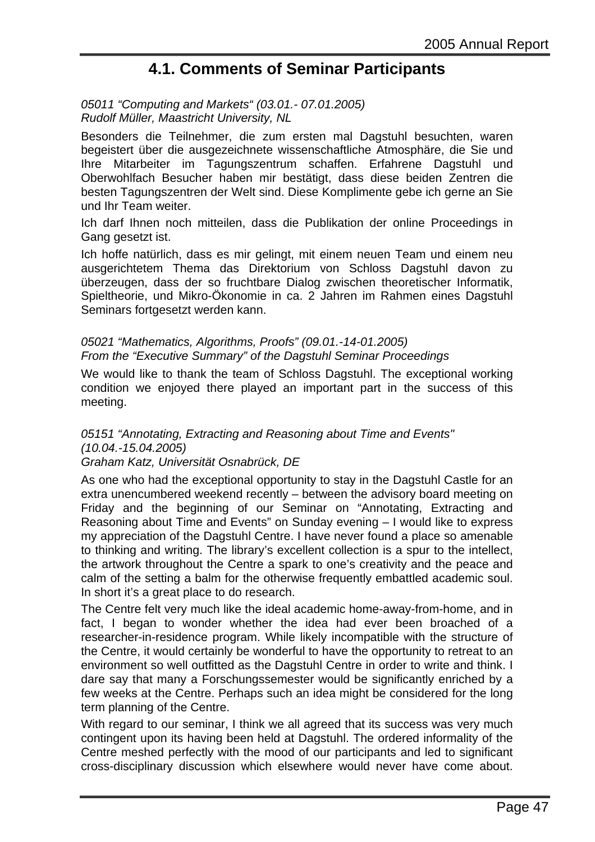### **4.1. Comments of Seminar Participants**

#### *05011 "Computing and Markets" (03.01.- 07.01.2005) Rudolf Müller, Maastricht University, NL*

Besonders die Teilnehmer, die zum ersten mal Dagstuhl besuchten, waren begeistert über die ausgezeichnete wissenschaftliche Atmosphäre, die Sie und Ihre Mitarbeiter im Tagungszentrum schaffen. Erfahrene Dagstuhl und Oberwohlfach Besucher haben mir bestätigt, dass diese beiden Zentren die besten Tagungszentren der Welt sind. Diese Komplimente gebe ich gerne an Sie und Ihr Team weiter.

Ich darf Ihnen noch mitteilen, dass die Publikation der online Proceedings in Gang gesetzt ist.

Ich hoffe natürlich, dass es mir gelingt, mit einem neuen Team und einem neu ausgerichtetem Thema das Direktorium von Schloss Dagstuhl davon zu überzeugen, dass der so fruchtbare Dialog zwischen theoretischer Informatik, Spieltheorie, und Mikro-Ökonomie in ca. 2 Jahren im Rahmen eines Dagstuhl Seminars fortgesetzt werden kann.

#### *05021 "Mathematics, Algorithms, Proofs" (09.01.-14-01.2005) From the "Executive Summary" of the Dagstuhl Seminar Proceedings*

We would like to thank the team of Schloss Dagstuhl. The exceptional working condition we enjoyed there played an important part in the success of this meeting.

#### *05151 "Annotating, Extracting and Reasoning about Time and Events" (10.04.-15.04.2005)*

#### *Graham Katz, Universität Osnabrück, DE*

As one who had the exceptional opportunity to stay in the Dagstuhl Castle for an extra unencumbered weekend recently – between the advisory board meeting on Friday and the beginning of our Seminar on "Annotating, Extracting and Reasoning about Time and Events" on Sunday evening – I would like to express my appreciation of the Dagstuhl Centre. I have never found a place so amenable to thinking and writing. The library's excellent collection is a spur to the intellect, the artwork throughout the Centre a spark to one's creativity and the peace and calm of the setting a balm for the otherwise frequently embattled academic soul. In short it's a great place to do research.

The Centre felt very much like the ideal academic home-away-from-home, and in fact, I began to wonder whether the idea had ever been broached of a researcher-in-residence program. While likely incompatible with the structure of the Centre, it would certainly be wonderful to have the opportunity to retreat to an environment so well outfitted as the Dagstuhl Centre in order to write and think. I dare say that many a Forschungssemester would be significantly enriched by a few weeks at the Centre. Perhaps such an idea might be considered for the long term planning of the Centre.

With regard to our seminar, I think we all agreed that its success was very much contingent upon its having been held at Dagstuhl. The ordered informality of the Centre meshed perfectly with the mood of our participants and led to significant cross-disciplinary discussion which elsewhere would never have come about.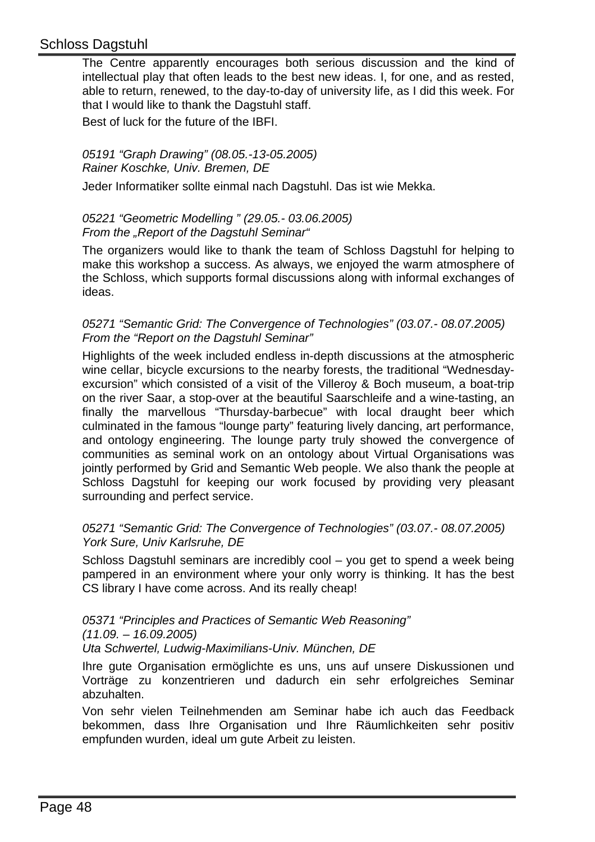### Schloss Dagstuhl

The Centre apparently encourages both serious discussion and the kind of intellectual play that often leads to the best new ideas. I, for one, and as rested, able to return, renewed, to the day-to-day of university life, as I did this week. For that I would like to thank the Dagstuhl staff.

Best of luck for the future of the IBFI.

#### *05191 "Graph Drawing" (08.05.-13-05.2005) Rainer Koschke, Univ. Bremen, DE*

Jeder Informatiker sollte einmal nach Dagstuhl. Das ist wie Mekka.

#### *05221 "Geometric Modelling " (29.05.- 03.06.2005) From the "Report of the Dagstuhl Seminar"*

The organizers would like to thank the team of Schloss Dagstuhl for helping to make this workshop a success. As always, we enjoyed the warm atmosphere of the Schloss, which supports formal discussions along with informal exchanges of ideas.

#### *05271 "Semantic Grid: The Convergence of Technologies" (03.07.- 08.07.2005) From the "Report on the Dagstuhl Seminar"*

Highlights of the week included endless in-depth discussions at the atmospheric wine cellar, bicycle excursions to the nearby forests, the traditional "Wednesdayexcursion" which consisted of a visit of the Villeroy & Boch museum, a boat-trip on the river Saar, a stop-over at the beautiful Saarschleife and a wine-tasting, an finally the marvellous "Thursday-barbecue" with local draught beer which culminated in the famous "lounge party" featuring lively dancing, art performance, and ontology engineering. The lounge party truly showed the convergence of communities as seminal work on an ontology about Virtual Organisations was jointly performed by Grid and Semantic Web people. We also thank the people at Schloss Dagstuhl for keeping our work focused by providing very pleasant surrounding and perfect service.

#### *05271 "Semantic Grid: The Convergence of Technologies" (03.07.- 08.07.2005) York Sure, Univ Karlsruhe, DE*

Schloss Dagstuhl seminars are incredibly cool – you get to spend a week being pampered in an environment where your only worry is thinking. It has the best CS library I have come across. And its really cheap!

#### *05371 "Principles and Practices of Semantic Web Reasoning" (11.09. – 16.09.2005)*

*Uta Schwertel, Ludwig-Maximilians-Univ. München, DE* 

Ihre gute Organisation ermöglichte es uns, uns auf unsere Diskussionen und Vorträge zu konzentrieren und dadurch ein sehr erfolgreiches Seminar abzuhalten.

Von sehr vielen Teilnehmenden am Seminar habe ich auch das Feedback bekommen, dass Ihre Organisation und Ihre Räumlichkeiten sehr positiv empfunden wurden, ideal um gute Arbeit zu leisten.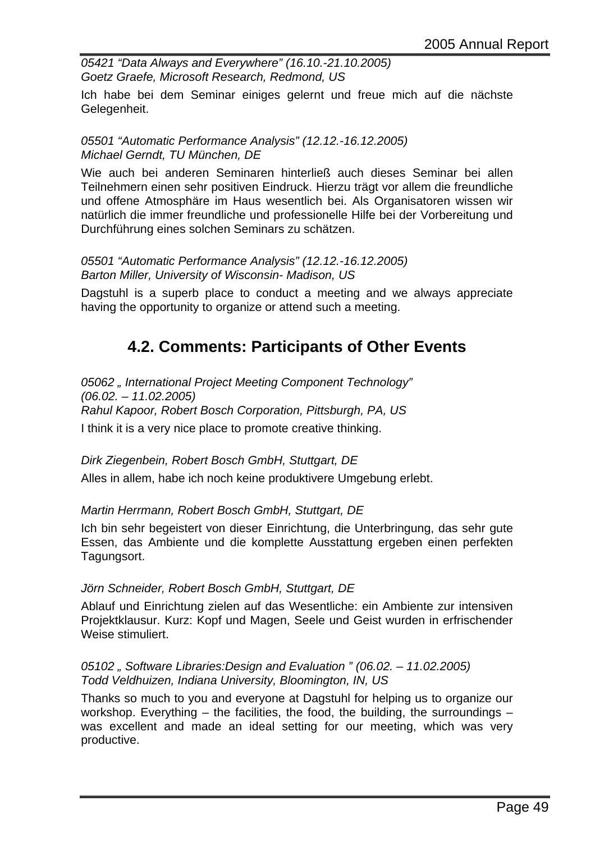*05421 "Data Always and Everywhere" (16.10.-21.10.2005) Goetz Graefe, Microsoft Research, Redmond, US* 

Ich habe bei dem Seminar einiges gelernt und freue mich auf die nächste Gelegenheit.

#### *05501 "Automatic Performance Analysis" (12.12.-16.12.2005) Michael Gerndt, TU München, DE*

Wie auch bei anderen Seminaren hinterließ auch dieses Seminar bei allen Teilnehmern einen sehr positiven Eindruck. Hierzu trägt vor allem die freundliche und offene Atmosphäre im Haus wesentlich bei. Als Organisatoren wissen wir natürlich die immer freundliche und professionelle Hilfe bei der Vorbereitung und Durchführung eines solchen Seminars zu schätzen.

*05501 "Automatic Performance Analysis" (12.12.-16.12.2005) Barton Miller, University of Wisconsin- Madison, US* 

Dagstuhl is a superb place to conduct a meeting and we always appreciate having the opportunity to organize or attend such a meeting.

### **4.2. Comments: Participants of Other Events**

*05062 " International Project Meeting Component Technology" (06.02. – 11.02.2005) Rahul Kapoor, Robert Bosch Corporation, Pittsburgh, PA, US*  I think it is a very nice place to promote creative thinking.

*Dirk Ziegenbein, Robert Bosch GmbH, Stuttgart, DE* 

Alles in allem, habe ich noch keine produktivere Umgebung erlebt.

#### *Martin Herrmann, Robert Bosch GmbH, Stuttgart, DE*

Ich bin sehr begeistert von dieser Einrichtung, die Unterbringung, das sehr gute Essen, das Ambiente und die komplette Ausstattung ergeben einen perfekten Tagungsort.

#### *Jörn Schneider, Robert Bosch GmbH, Stuttgart, DE*

Ablauf und Einrichtung zielen auf das Wesentliche: ein Ambiente zur intensiven Projektklausur. Kurz: Kopf und Magen, Seele und Geist wurden in erfrischender Weise stimuliert.

#### *05102 " Software Libraries:Design and Evaluation " (06.02. – 11.02.2005) Todd Veldhuizen, Indiana University, Bloomington, IN, US*

Thanks so much to you and everyone at Dagstuhl for helping us to organize our workshop. Everything  $-$  the facilities, the food, the building, the surroundings  $$ was excellent and made an ideal setting for our meeting, which was very productive.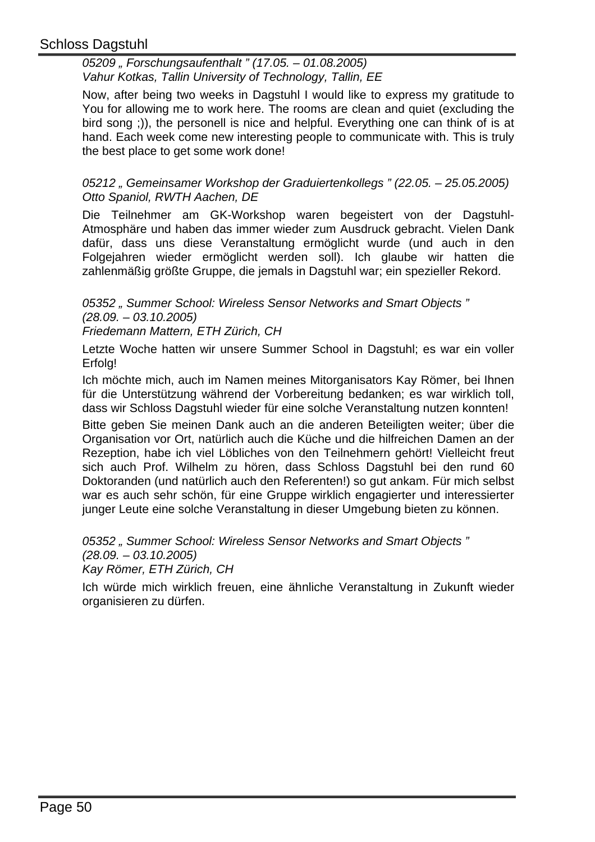### Schloss Dagstuhl

#### *05209 " Forschungsaufenthalt " (17.05. – 01.08.2005) Vahur Kotkas, Tallin University of Technology, Tallin, EE*

Now, after being two weeks in Dagstuhl I would like to express my gratitude to You for allowing me to work here. The rooms are clean and quiet (excluding the bird song ;)), the personell is nice and helpful. Everything one can think of is at hand. Each week come new interesting people to communicate with. This is truly the best place to get some work done!

#### *05212 " Gemeinsamer Workshop der Graduiertenkollegs " (22.05. – 25.05.2005) Otto Spaniol, RWTH Aachen, DE*

Die Teilnehmer am GK-Workshop waren begeistert von der Dagstuhl-Atmosphäre und haben das immer wieder zum Ausdruck gebracht. Vielen Dank dafür, dass uns diese Veranstaltung ermöglicht wurde (und auch in den Folgejahren wieder ermöglicht werden soll). Ich glaube wir hatten die zahlenmäßig größte Gruppe, die jemals in Dagstuhl war; ein spezieller Rekord.

*05352 " Summer School: Wireless Sensor Networks and Smart Objects " (28.09. – 03.10.2005)* 

*Friedemann Mattern, ETH Zürich, CH* 

Letzte Woche hatten wir unsere Summer School in Dagstuhl; es war ein voller Erfolg!

Ich möchte mich, auch im Namen meines Mitorganisators Kay Römer, bei Ihnen für die Unterstützung während der Vorbereitung bedanken; es war wirklich toll, dass wir Schloss Dagstuhl wieder für eine solche Veranstaltung nutzen konnten!

Bitte geben Sie meinen Dank auch an die anderen Beteiligten weiter; über die Organisation vor Ort, natürlich auch die Küche und die hilfreichen Damen an der Rezeption, habe ich viel Löbliches von den Teilnehmern gehört! Vielleicht freut sich auch Prof. Wilhelm zu hören, dass Schloss Dagstuhl bei den rund 60 Doktoranden (und natürlich auch den Referenten!) so gut ankam. Für mich selbst war es auch sehr schön, für eine Gruppe wirklich engagierter und interessierter junger Leute eine solche Veranstaltung in dieser Umgebung bieten zu können.

*05352 " Summer School: Wireless Sensor Networks and Smart Objects " (28.09. – 03.10.2005)* 

*Kay Römer, ETH Zürich, CH* 

Ich würde mich wirklich freuen, eine ähnliche Veranstaltung in Zukunft wieder organisieren zu dürfen.